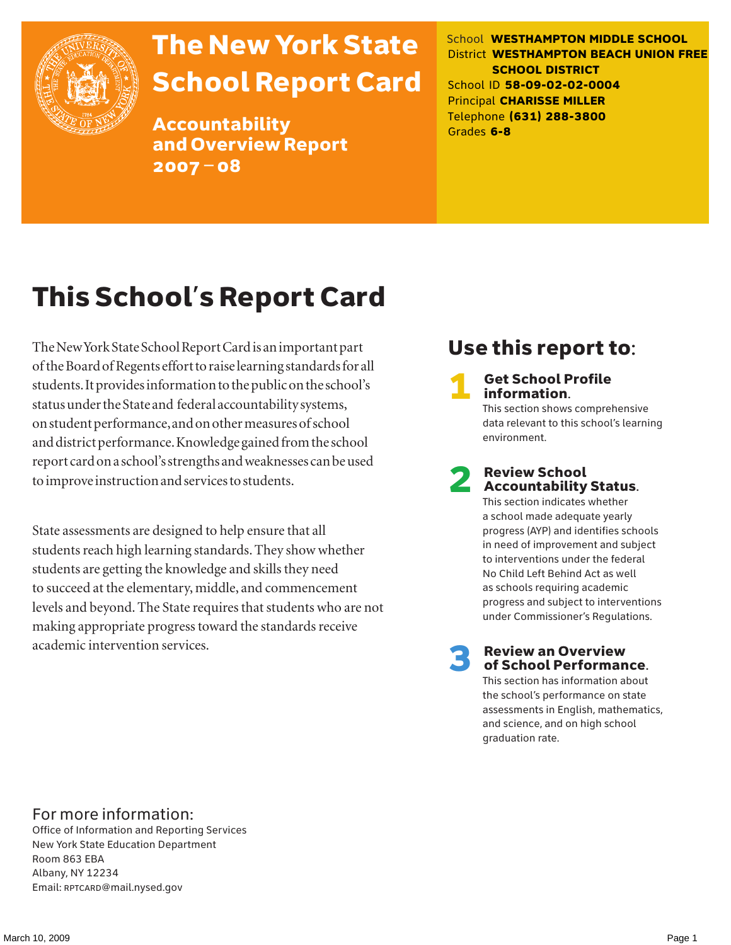

# The New York State School Report Card

Accountability and Overview Report 2007–08

School **WESTHAMPTON MIDDLE SCHOOL** District **WESTHAMPTON BEACH UNION FREE SCHOOL DISTRICT** School ID **58-09-02-02-0004** Principal **CHARISSE MILLER** Telephone **(631) 288-3800** Grades **6-8**

# This School's Report Card

The New York State School Report Card is an important part of the Board of Regents effort to raise learning standards for all students. It provides information to the public on the school's status under the State and federal accountability systems, on student performance, and on other measures of school and district performance. Knowledge gained from the school report card on a school's strengths and weaknesses can be used to improve instruction and services to students.

State assessments are designed to help ensure that all students reach high learning standards. They show whether students are getting the knowledge and skills they need to succeed at the elementary, middle, and commencement levels and beyond. The State requires that students who are not making appropriate progress toward the standards receive academic intervention services.

### Use this report to:

**Get School Profile** information.

This section shows comprehensive data relevant to this school's learning environment.

# 2 Review School Accountability Status.

This section indicates whether a school made adequate yearly progress (AYP) and identifies schools in need of improvement and subject to interventions under the federal No Child Left Behind Act as well as schools requiring academic progress and subject to interventions under Commissioner's Regulations.

**Review an Overview** of School Performance.

This section has information about the school's performance on state assessments in English, mathematics, and science, and on high school graduation rate.

### For more information:

Office of Information and Reporting Services New York State Education Department Room 863 EBA Albany, NY 12234 Email: RPTCARD@mail.nysed.gov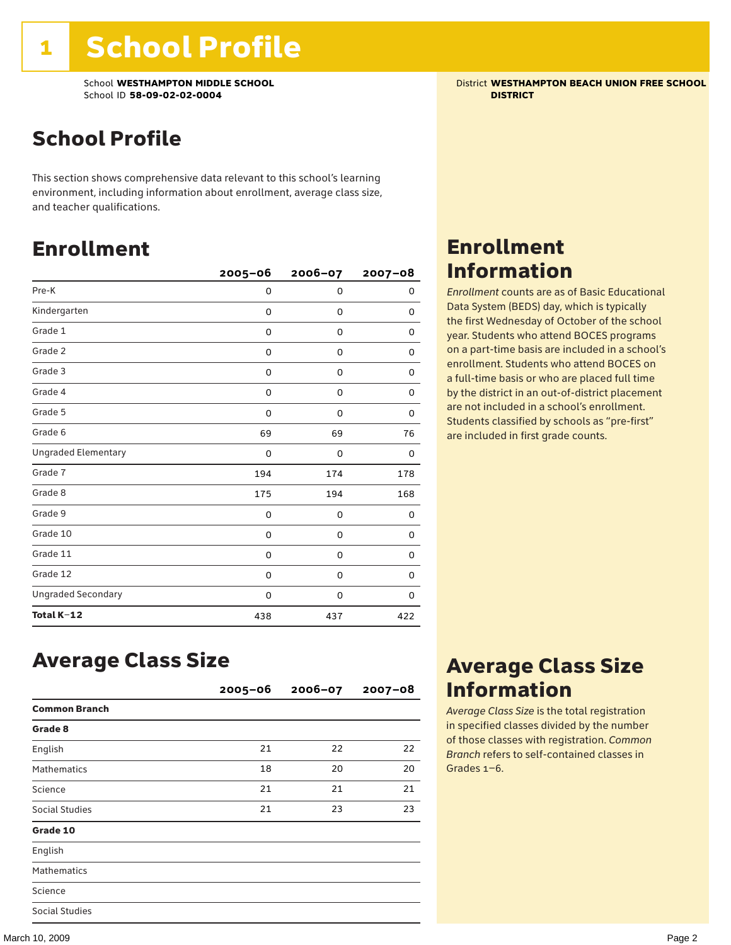School **WESTHAMPTON MIDDLE SCHOOL** District **WESTHAMPTON BEACH UNION FREE SCHOOL** School ID **58-09-02-02-0004 DISTRICT**

### School Profile

This section shows comprehensive data relevant to this school's learning environment, including information about enrollment, average class size, and teacher qualifications.

### Enrollment

|                            | $2005 - 06$ | 2006-07     | $2007 - 08$ |
|----------------------------|-------------|-------------|-------------|
| Pre-K                      | 0           | $\mathbf 0$ | 0           |
| Kindergarten               | 0           | 0           | 0           |
| Grade 1                    | 0           | 0           | 0           |
| Grade 2                    | 0           | 0           | 0           |
| Grade 3                    | 0           | 0           | 0           |
| Grade 4                    | 0           | 0           | 0           |
| Grade 5                    | 0           | 0           | 0           |
| Grade 6                    | 69          | 69          | 76          |
| <b>Ungraded Elementary</b> | 0           | $\mathbf 0$ | 0           |
| Grade 7                    | 194         | 174         | 178         |
| Grade 8                    | 175         | 194         | 168         |
| Grade 9                    | 0           | 0           | 0           |
| Grade 10                   | 0           | 0           | 0           |
| Grade 11                   | 0           | 0           | 0           |
| Grade 12                   | 0           | 0           | 0           |
| <b>Ungraded Secondary</b>  | 0           | 0           | 0           |
| Total K-12                 | 438         | 437         | 422         |

### Enrollment Information

*Enrollment* counts are as of Basic Educational Data System (BEDS) day, which is typically the first Wednesday of October of the school year. Students who attend BOCES programs on a part-time basis are included in a school's enrollment. Students who attend BOCES on a full-time basis or who are placed full time by the district in an out-of-district placement are not included in a school's enrollment. Students classified by schools as "pre-first" are included in first grade counts.

### Average Class Size

|                      | $2005 - 06$ | $2006 - 07$ | $2007 - 08$ |
|----------------------|-------------|-------------|-------------|
| <b>Common Branch</b> |             |             |             |
| Grade 8              |             |             |             |
| English              | 21          | 22          | 22          |
| <b>Mathematics</b>   | 18          | 20          | 20          |
| Science              | 21          | 21          | 21          |
| Social Studies       | 21          | 23          | 23          |
| Grade 10             |             |             |             |
| English              |             |             |             |
| <b>Mathematics</b>   |             |             |             |
| Science              |             |             |             |
| Social Studies       |             |             |             |

### Average Class Size Information

*Average Class Size* is the total registration in specified classes divided by the number of those classes with registration. *Common Branch* refers to self-contained classes in Grades 1–6.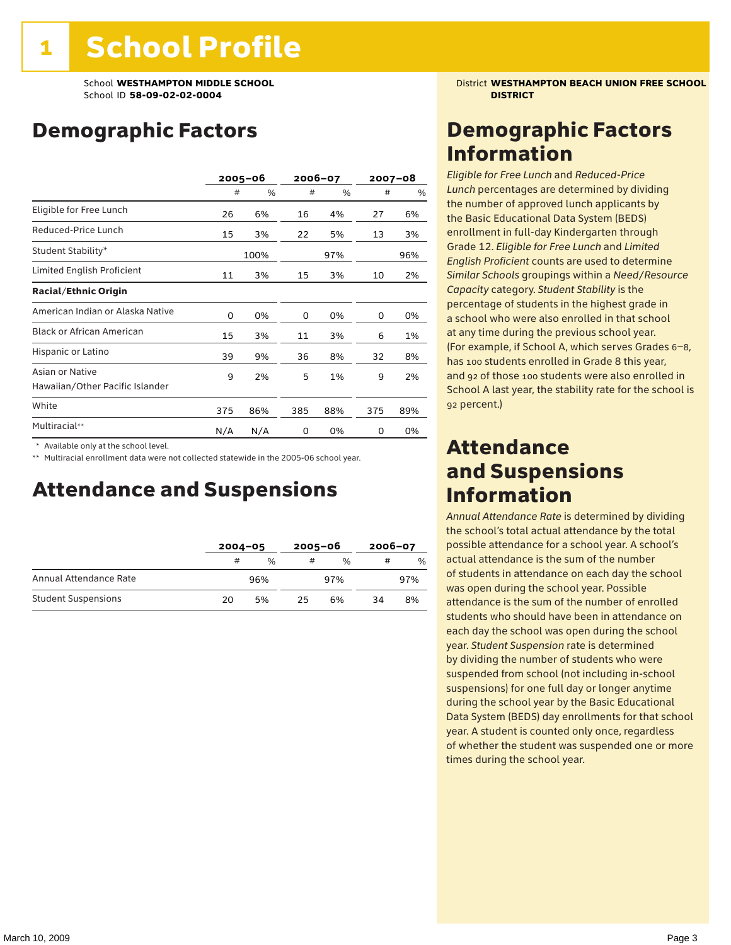### Demographic Factors

|                                                    |     | 2005-06 |     | 2006-07 |     | 2007-08 |  |
|----------------------------------------------------|-----|---------|-----|---------|-----|---------|--|
|                                                    | #   | %       | #   | %       | #   | %       |  |
| Eligible for Free Lunch                            | 26  | 6%      | 16  | 4%      | 27  | 6%      |  |
| Reduced-Price Lunch                                | 15  | 3%      | 22  | 5%      | 13  | 3%      |  |
| Student Stability*                                 |     | 100%    |     | 97%     |     | 96%     |  |
| Limited English Proficient                         | 11  | 3%      | 15  | 3%      | 10  | 2%      |  |
| <b>Racial/Ethnic Origin</b>                        |     |         |     |         |     |         |  |
| American Indian or Alaska Native                   | 0   | 0%      | 0   | 0%      | 0   | 0%      |  |
| <b>Black or African American</b>                   | 15  | 3%      | 11  | 3%      | 6   | 1%      |  |
| Hispanic or Latino                                 | 39  | 9%      | 36  | 8%      | 32  | 8%      |  |
| Asian or Native<br>Hawaiian/Other Pacific Islander | 9   | 2%      | 5   | 1%      | 9   | 2%      |  |
| White                                              | 375 | 86%     | 385 | 88%     | 375 | 89%     |  |
| Multiracial**                                      | N/A | N/A     | 0   | 0%      | 0   | 0%      |  |

\* Available only at the school level.

\*\* Multiracial enrollment data were not collected statewide in the 2005-06 school year.

### Attendance and Suspensions

|                            |    | $2004 - 05$   |    | $2005 - 06$   |    | 2006-07       |  |
|----------------------------|----|---------------|----|---------------|----|---------------|--|
|                            | #  | $\frac{1}{2}$ | #  | $\frac{0}{6}$ |    | $\frac{0}{0}$ |  |
| Annual Attendance Rate     |    | 96%           |    | 97%           |    | 97%           |  |
| <b>Student Suspensions</b> | 20 | 5%            | 25 | 6%            | 34 | 8%            |  |

School **WESTHAMPTON MIDDLE SCHOOL** District **WESTHAMPTON BEACH UNION FREE SCHOOL**

### Demographic Factors Information

*Eligible for Free Lunch* and *Reduced*-*Price Lunch* percentages are determined by dividing the number of approved lunch applicants by the Basic Educational Data System (BEDS) enrollment in full-day Kindergarten through Grade 12. *Eligible for Free Lunch* and *Limited English Proficient* counts are used to determine *Similar Schools* groupings within a *Need*/*Resource Capacity* category. *Student Stability* is the percentage of students in the highest grade in a school who were also enrolled in that school at any time during the previous school year. (For example, if School A, which serves Grades 6–8, has 100 students enrolled in Grade 8 this year, and 92 of those 100 students were also enrolled in School A last year, the stability rate for the school is 92 percent.)

### Attendance and Suspensions Information

*Annual Attendance Rate* is determined by dividing the school's total actual attendance by the total possible attendance for a school year. A school's actual attendance is the sum of the number of students in attendance on each day the school was open during the school year. Possible attendance is the sum of the number of enrolled students who should have been in attendance on each day the school was open during the school year. *Student Suspension* rate is determined by dividing the number of students who were suspended from school (not including in-school suspensions) for one full day or longer anytime during the school year by the Basic Educational Data System (BEDS) day enrollments for that school year. A student is counted only once, regardless of whether the student was suspended one or more times during the school year.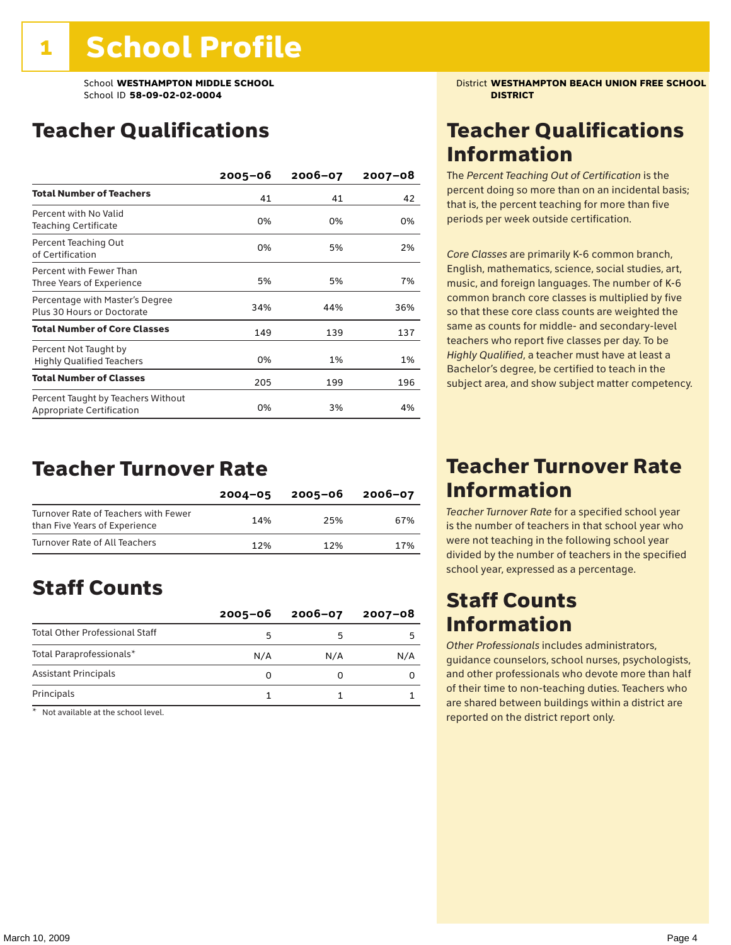### Teacher Qualifications

|                                                                 | $2005 - 06$ | 2006-07 | $2007 - 08$ |
|-----------------------------------------------------------------|-------------|---------|-------------|
| <b>Total Number of Teachers</b>                                 | 41          | 41      | 42          |
| Percent with No Valid<br>Teaching Certificate                   | 0%          | 0%      | 0%          |
| Percent Teaching Out<br>of Certification                        | 0%          | 5%      | 2%          |
| Percent with Fewer Than<br>Three Years of Experience            | 5%          | 5%      | 7%          |
| Percentage with Master's Degree<br>Plus 30 Hours or Doctorate   | 34%         | 44%     | 36%         |
| <b>Total Number of Core Classes</b>                             | 149         | 139     | 137         |
| Percent Not Taught by<br><b>Highly Qualified Teachers</b>       | 0%          | 1%      | 1%          |
| <b>Total Number of Classes</b>                                  | 205         | 199     | 196         |
| Percent Taught by Teachers Without<br>Appropriate Certification | 0%          | 3%      | 4%          |

### Teacher Turnover Rate

|                                                                       | $2004 - 05$ | 2005-06 | $2006 - 07$ |
|-----------------------------------------------------------------------|-------------|---------|-------------|
| Turnover Rate of Teachers with Fewer<br>than Five Years of Experience | 14%         | 25%     | 67%         |
| Turnover Rate of All Teachers                                         | 12%         | 12%     | 17%         |

### Staff Counts

|                                       | $2005 - 06$ | $2006 - 07$ | 2007-08 |
|---------------------------------------|-------------|-------------|---------|
| <b>Total Other Professional Staff</b> |             |             |         |
| Total Paraprofessionals*              | N/A         | N/A         | N/A     |
| <b>Assistant Principals</b>           |             |             |         |
| Principals                            |             |             |         |

\* Not available at the school level.

School **WESTHAMPTON MIDDLE SCHOOL** District **WESTHAMPTON BEACH UNION FREE SCHOOL**

### Teacher Qualifications Information

The *Percent Teaching Out of Certification* is the percent doing so more than on an incidental basis; that is, the percent teaching for more than five periods per week outside certification.

*Core Classes* are primarily K-6 common branch, English, mathematics, science, social studies, art, music, and foreign languages. The number of K-6 common branch core classes is multiplied by five so that these core class counts are weighted the same as counts for middle- and secondary-level teachers who report five classes per day. To be *Highly Qualified*, a teacher must have at least a Bachelor's degree, be certified to teach in the subject area, and show subject matter competency.

### Teacher Turnover Rate Information

*Teacher Turnover Rate* for a specified school year is the number of teachers in that school year who were not teaching in the following school year divided by the number of teachers in the specified school year, expressed as a percentage.

### Staff Counts Information

*Other Professionals* includes administrators, guidance counselors, school nurses, psychologists, and other professionals who devote more than half of their time to non-teaching duties. Teachers who are shared between buildings within a district are reported on the district report only.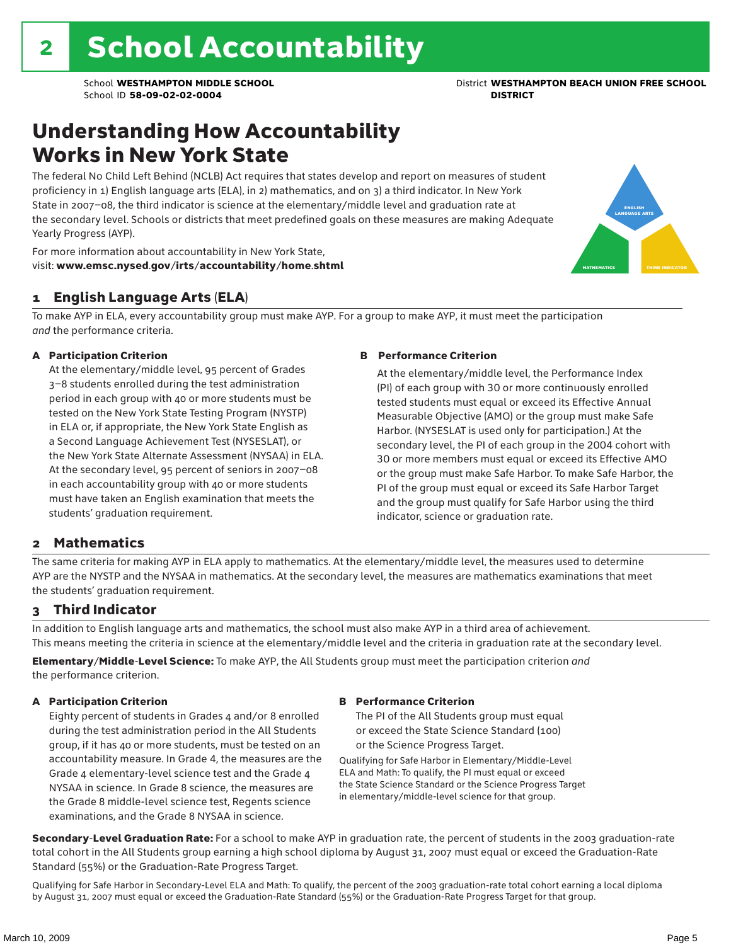### Understanding How Accountability Works in New York State

The federal No Child Left Behind (NCLB) Act requires that states develop and report on measures of student proficiency in 1) English language arts (ELA), in 2) mathematics, and on 3) a third indicator. In New York State in 2007–08, the third indicator is science at the elementary/middle level and graduation rate at the secondary level. Schools or districts that meet predefined goals on these measures are making Adequate Yearly Progress (AYP).



For more information about accountability in New York State, visit: www.emsc.nysed.gov/irts/accountability/home.shtml

#### 1 English Language Arts (ELA)

To make AYP in ELA, every accountability group must make AYP. For a group to make AYP, it must meet the participation *and* the performance criteria.

#### A Participation Criterion

At the elementary/middle level, 95 percent of Grades 3–8 students enrolled during the test administration period in each group with 40 or more students must be tested on the New York State Testing Program (NYSTP) in ELA or, if appropriate, the New York State English as a Second Language Achievement Test (NYSESLAT), or the New York State Alternate Assessment (NYSAA) in ELA. At the secondary level, 95 percent of seniors in 2007–08 in each accountability group with 40 or more students must have taken an English examination that meets the students' graduation requirement.

#### B Performance Criterion

At the elementary/middle level, the Performance Index (PI) of each group with 30 or more continuously enrolled tested students must equal or exceed its Effective Annual Measurable Objective (AMO) or the group must make Safe Harbor. (NYSESLAT is used only for participation.) At the secondary level, the PI of each group in the 2004 cohort with 30 or more members must equal or exceed its Effective AMO or the group must make Safe Harbor. To make Safe Harbor, the PI of the group must equal or exceed its Safe Harbor Target and the group must qualify for Safe Harbor using the third indicator, science or graduation rate.

#### 2 Mathematics

The same criteria for making AYP in ELA apply to mathematics. At the elementary/middle level, the measures used to determine AYP are the NYSTP and the NYSAA in mathematics. At the secondary level, the measures are mathematics examinations that meet the students' graduation requirement.

#### 3 Third Indicator

In addition to English language arts and mathematics, the school must also make AYP in a third area of achievement. This means meeting the criteria in science at the elementary/middle level and the criteria in graduation rate at the secondary level.

Elementary/Middle-Level Science: To make AYP, the All Students group must meet the participation criterion *and* the performance criterion.

#### A Participation Criterion

Eighty percent of students in Grades 4 and/or 8 enrolled during the test administration period in the All Students group, if it has 40 or more students, must be tested on an accountability measure. In Grade 4, the measures are the Grade 4 elementary-level science test and the Grade 4 NYSAA in science. In Grade 8 science, the measures are the Grade 8 middle-level science test, Regents science examinations, and the Grade 8 NYSAA in science.

#### B Performance Criterion

The PI of the All Students group must equal or exceed the State Science Standard (100) or the Science Progress Target.

Qualifying for Safe Harbor in Elementary/Middle-Level ELA and Math: To qualify, the PI must equal or exceed the State Science Standard or the Science Progress Target in elementary/middle-level science for that group.

Secondary-Level Graduation Rate: For a school to make AYP in graduation rate, the percent of students in the 2003 graduation-rate total cohort in the All Students group earning a high school diploma by August 31, 2007 must equal or exceed the Graduation-Rate Standard (55%) or the Graduation-Rate Progress Target.

Qualifying for Safe Harbor in Secondary-Level ELA and Math: To qualify, the percent of the 2003 graduation-rate total cohort earning a local diploma by August 31, 2007 must equal or exceed the Graduation-Rate Standard (55%) or the Graduation-Rate Progress Target for that group.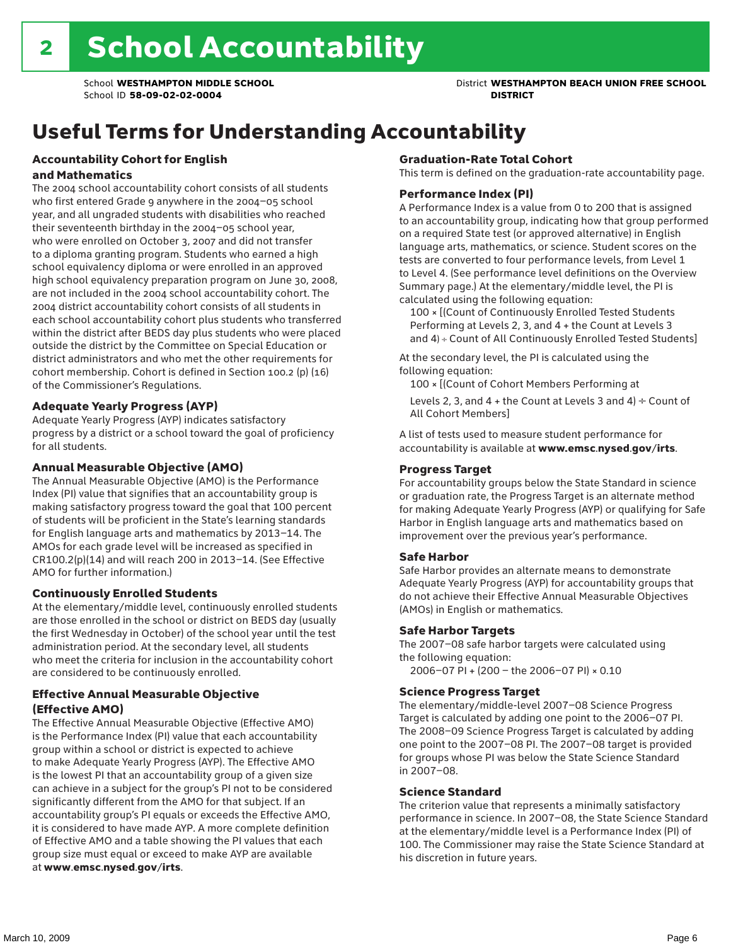## Useful Terms for Understanding Accountability

#### Accountability Cohort for English and Mathematics

The 2004 school accountability cohort consists of all students who first entered Grade 9 anywhere in the 2004–05 school year, and all ungraded students with disabilities who reached their seventeenth birthday in the 2004–05 school year, who were enrolled on October 3, 2007 and did not transfer to a diploma granting program. Students who earned a high school equivalency diploma or were enrolled in an approved high school equivalency preparation program on June 30, 2008, are not included in the 2004 school accountability cohort. The 2004 district accountability cohort consists of all students in each school accountability cohort plus students who transferred within the district after BEDS day plus students who were placed outside the district by the Committee on Special Education or district administrators and who met the other requirements for cohort membership. Cohort is defined in Section 100.2 (p) (16) of the Commissioner's Regulations.

#### Adequate Yearly Progress (AYP)

Adequate Yearly Progress (AYP) indicates satisfactory progress by a district or a school toward the goal of proficiency for all students.

#### Annual Measurable Objective (AMO)

The Annual Measurable Objective (AMO) is the Performance Index (PI) value that signifies that an accountability group is making satisfactory progress toward the goal that 100 percent of students will be proficient in the State's learning standards for English language arts and mathematics by 2013–14. The AMOs for each grade level will be increased as specified in CR100.2(p)(14) and will reach 200 in 2013–14. (See Effective AMO for further information.)

#### Continuously Enrolled Students

At the elementary/middle level, continuously enrolled students are those enrolled in the school or district on BEDS day (usually the first Wednesday in October) of the school year until the test administration period. At the secondary level, all students who meet the criteria for inclusion in the accountability cohort are considered to be continuously enrolled.

#### Effective Annual Measurable Objective (Effective AMO)

The Effective Annual Measurable Objective (Effective AMO) is the Performance Index (PI) value that each accountability group within a school or district is expected to achieve to make Adequate Yearly Progress (AYP). The Effective AMO is the lowest PI that an accountability group of a given size can achieve in a subject for the group's PI not to be considered significantly different from the AMO for that subject. If an accountability group's PI equals or exceeds the Effective AMO, it is considered to have made AYP. A more complete definition of Effective AMO and a table showing the PI values that each group size must equal or exceed to make AYP are available at www.emsc.nysed.gov/irts.

#### Graduation-Rate Total Cohort

This term is defined on the graduation-rate accountability page.

#### Performance Index (PI)

A Performance Index is a value from 0 to 200 that is assigned to an accountability group, indicating how that group performed on a required State test (or approved alternative) in English language arts, mathematics, or science. Student scores on the tests are converted to four performance levels, from Level 1 to Level 4. (See performance level definitions on the Overview Summary page.) At the elementary/middle level, the PI is calculated using the following equation:

100 × [(Count of Continuously Enrolled Tested Students Performing at Levels 2, 3, and 4 + the Count at Levels 3 and 4) ÷ Count of All Continuously Enrolled Tested Students]

At the secondary level, the PI is calculated using the following equation:

100 × [(Count of Cohort Members Performing at

Levels 2, 3, and 4 + the Count at Levels 3 and 4)  $\div$  Count of All Cohort Members]

A list of tests used to measure student performance for accountability is available at www.emsc.nysed.gov/irts.

#### Progress Target

For accountability groups below the State Standard in science or graduation rate, the Progress Target is an alternate method for making Adequate Yearly Progress (AYP) or qualifying for Safe Harbor in English language arts and mathematics based on improvement over the previous year's performance.

#### Safe Harbor

Safe Harbor provides an alternate means to demonstrate Adequate Yearly Progress (AYP) for accountability groups that do not achieve their Effective Annual Measurable Objectives (AMOs) in English or mathematics.

#### Safe Harbor Targets

The 2007–08 safe harbor targets were calculated using the following equation:

2006–07 PI + (200 – the 2006–07 PI) × 0.10

#### Science Progress Target

The elementary/middle-level 2007–08 Science Progress Target is calculated by adding one point to the 2006–07 PI. The 2008–09 Science Progress Target is calculated by adding one point to the 2007–08 PI. The 2007–08 target is provided for groups whose PI was below the State Science Standard in 2007–08.

#### Science Standard

The criterion value that represents a minimally satisfactory performance in science. In 2007–08, the State Science Standard at the elementary/middle level is a Performance Index (PI) of 100. The Commissioner may raise the State Science Standard at his discretion in future years.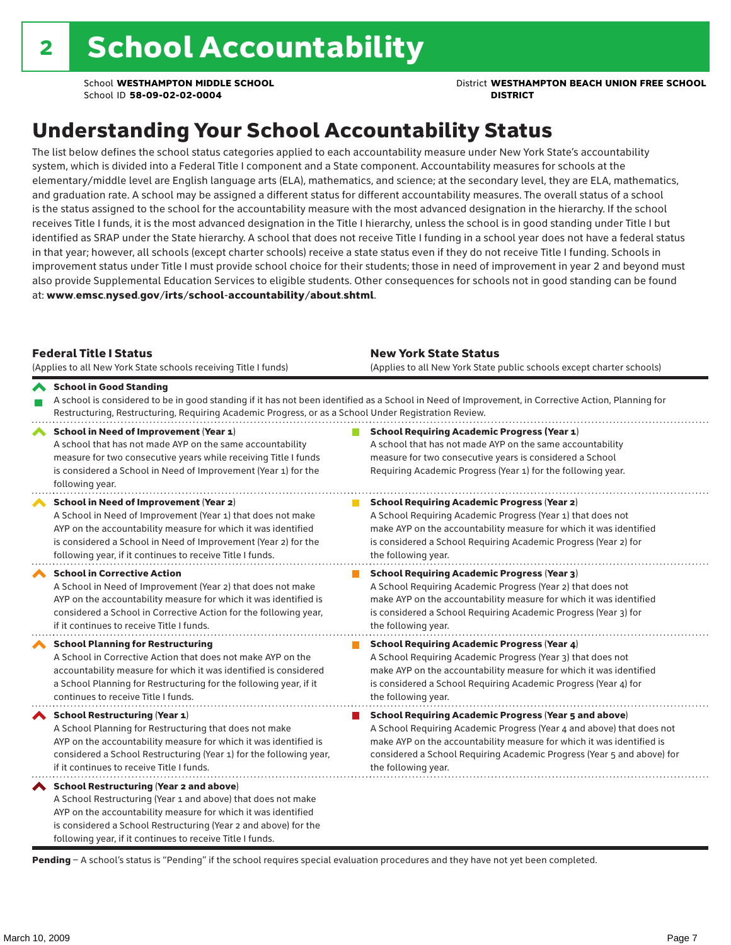School **WESTHAMPTON MIDDLE SCHOOL** District **WESTHAMPTON BEACH UNION FREE SCHOOL**

## Understanding Your School Accountability Status

The list below defines the school status categories applied to each accountability measure under New York State's accountability system, which is divided into a Federal Title I component and a State component. Accountability measures for schools at the elementary/middle level are English language arts (ELA), mathematics, and science; at the secondary level, they are ELA, mathematics, and graduation rate. A school may be assigned a different status for different accountability measures. The overall status of a school is the status assigned to the school for the accountability measure with the most advanced designation in the hierarchy. If the school receives Title I funds, it is the most advanced designation in the Title I hierarchy, unless the school is in good standing under Title I but identified as SRAP under the State hierarchy. A school that does not receive Title I funding in a school year does not have a federal status in that year; however, all schools (except charter schools) receive a state status even if they do not receive Title I funding. Schools in improvement status under Title I must provide school choice for their students; those in need of improvement in year 2 and beyond must also provide Supplemental Education Services to eligible students. Other consequences for schools not in good standing can be found at: www.emsc.nysed.gov/irts/school-accountability/about.shtml.

| <b>Federal Title I Status</b><br>(Applies to all New York State schools receiving Title I funds)                                                                                                                                                                                                         | <b>New York State Status</b><br>(Applies to all New York State public schools except charter schools) |                                                                                                                                                                                                                                                                                                                 |  |  |  |
|----------------------------------------------------------------------------------------------------------------------------------------------------------------------------------------------------------------------------------------------------------------------------------------------------------|-------------------------------------------------------------------------------------------------------|-----------------------------------------------------------------------------------------------------------------------------------------------------------------------------------------------------------------------------------------------------------------------------------------------------------------|--|--|--|
| School in Good Standing<br>Restructuring, Restructuring, Requiring Academic Progress, or as a School Under Registration Review.                                                                                                                                                                          |                                                                                                       | A school is considered to be in good standing if it has not been identified as a School in Need of Improvement, in Corrective Action, Planning for                                                                                                                                                              |  |  |  |
| School in Need of Improvement (Year 1)<br>A school that has not made AYP on the same accountability<br>measure for two consecutive years while receiving Title I funds<br>is considered a School in Need of Improvement (Year 1) for the<br>following year.                                              |                                                                                                       | <b>School Requiring Academic Progress (Year 1)</b><br>A school that has not made AYP on the same accountability<br>measure for two consecutive years is considered a School<br>Requiring Academic Progress (Year 1) for the following year.                                                                     |  |  |  |
| School in Need of Improvement (Year 2)<br>A School in Need of Improvement (Year 1) that does not make<br>AYP on the accountability measure for which it was identified<br>is considered a School in Need of Improvement (Year 2) for the<br>following year, if it continues to receive Title I funds.    |                                                                                                       | <b>School Requiring Academic Progress (Year 2)</b><br>A School Requiring Academic Progress (Year 1) that does not<br>make AYP on the accountability measure for which it was identified<br>is considered a School Requiring Academic Progress (Year 2) for<br>the following year.                               |  |  |  |
| <b>School in Corrective Action</b><br>A School in Need of Improvement (Year 2) that does not make<br>AYP on the accountability measure for which it was identified is<br>considered a School in Corrective Action for the following year,<br>if it continues to receive Title I funds.                   |                                                                                                       | <b>School Requiring Academic Progress (Year 3)</b><br>A School Requiring Academic Progress (Year 2) that does not<br>make AYP on the accountability measure for which it was identified<br>is considered a School Requiring Academic Progress (Year 3) for<br>the following year.                               |  |  |  |
| <b>School Planning for Restructuring</b><br>A School in Corrective Action that does not make AYP on the<br>accountability measure for which it was identified is considered<br>a School Planning for Restructuring for the following year, if it<br>continues to receive Title I funds.                  |                                                                                                       | <b>School Requiring Academic Progress (Year 4)</b><br>A School Requiring Academic Progress (Year 3) that does not<br>make AYP on the accountability measure for which it was identified<br>is considered a School Requiring Academic Progress (Year 4) for<br>the following year.                               |  |  |  |
| <b>School Restructuring (Year 1)</b><br>A School Planning for Restructuring that does not make<br>AYP on the accountability measure for which it was identified is<br>considered a School Restructuring (Year 1) for the following year,<br>if it continues to receive Title I funds.                    |                                                                                                       | <b>School Requiring Academic Progress (Year 5 and above)</b><br>A School Requiring Academic Progress (Year 4 and above) that does not<br>make AYP on the accountability measure for which it was identified is<br>considered a School Requiring Academic Progress (Year 5 and above) for<br>the following year. |  |  |  |
| School Restructuring (Year 2 and above)<br>A School Restructuring (Year 1 and above) that does not make<br>AYP on the accountability measure for which it was identified<br>is considered a School Restructuring (Year 2 and above) for the<br>following year, if it continues to receive Title I funds. |                                                                                                       |                                                                                                                                                                                                                                                                                                                 |  |  |  |

Pending - A school's status is "Pending" if the school requires special evaluation procedures and they have not yet been completed.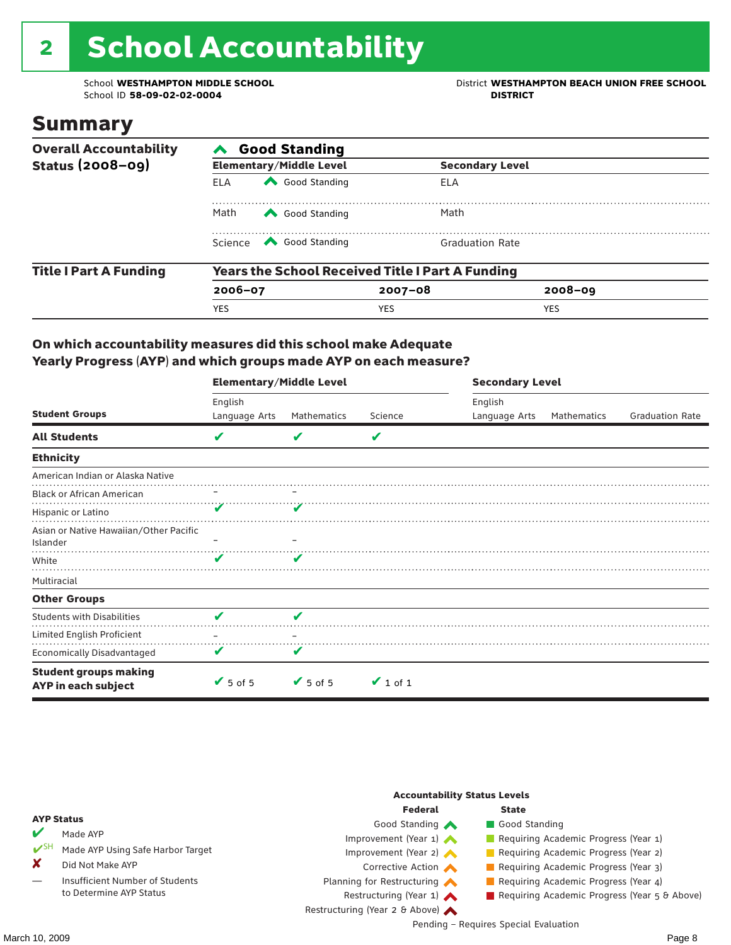# 2 School Accountability

School ID 58-09-02-02-0004

School **WESTHAMPTON MIDDLE SCHOOL**<br>School ID 58-09-02-020404<br>District **District Politics** 

### Summary

| <b>Overall Accountability</b> | <b>Good Standing</b>                                    |                                                                                                                                                                                                                                                                                                                                                 |                        |             |  |  |  |  |
|-------------------------------|---------------------------------------------------------|-------------------------------------------------------------------------------------------------------------------------------------------------------------------------------------------------------------------------------------------------------------------------------------------------------------------------------------------------|------------------------|-------------|--|--|--|--|
| <b>Status (2008-09)</b>       |                                                         | <b>Elementary/Middle Level</b>                                                                                                                                                                                                                                                                                                                  | <b>Secondary Level</b> |             |  |  |  |  |
|                               | <b>ELA</b>                                              | Good Standing                                                                                                                                                                                                                                                                                                                                   | ELA                    |             |  |  |  |  |
|                               | Math<br>Good Standing                                   |                                                                                                                                                                                                                                                                                                                                                 | Math                   |             |  |  |  |  |
|                               |                                                         | Science <a> Science</a> Science Science Science <a> Science <a> Science <a> Science <a> Science <a> Science <a> Science <a> Science <a> Science <a> Science <a> Science <a<br></a<br> Science <a> Science <a> Science <a<br <="" th=""><th><b>Graduation Rate</b></th><th></th><th></th></a<br></a></a></a></a></a></a></a></a></a></a></a></a> | <b>Graduation Rate</b> |             |  |  |  |  |
| <b>Title I Part A Funding</b> | <b>Years the School Received Title I Part A Funding</b> |                                                                                                                                                                                                                                                                                                                                                 |                        |             |  |  |  |  |
|                               | $2006 - 07$                                             |                                                                                                                                                                                                                                                                                                                                                 | $2007 - 08$            | $2008 - 09$ |  |  |  |  |
|                               | <b>YES</b>                                              |                                                                                                                                                                                                                                                                                                                                                 | <b>YES</b>             | <b>YES</b>  |  |  |  |  |

#### On which accountability measures did this school make Adequate Yearly Progress (AYP) and which groups made AYP on each measure?

|                                                     | <b>Elementary/Middle Level</b> |                 |               |               | <b>Secondary Level</b> |                        |  |  |
|-----------------------------------------------------|--------------------------------|-----------------|---------------|---------------|------------------------|------------------------|--|--|
|                                                     | English                        |                 |               | English       |                        |                        |  |  |
| <b>Student Groups</b>                               | Language Arts                  | Mathematics     | Science       | Language Arts | Mathematics            | <b>Graduation Rate</b> |  |  |
| <b>All Students</b>                                 | V                              | v               | V             |               |                        |                        |  |  |
| <b>Ethnicity</b>                                    |                                |                 |               |               |                        |                        |  |  |
| American Indian or Alaska Native                    |                                |                 |               |               |                        |                        |  |  |
| <b>Black or African American</b>                    |                                |                 |               |               |                        |                        |  |  |
| Hispanic or Latino                                  |                                |                 |               |               |                        |                        |  |  |
| Asian or Native Hawaiian/Other Pacific<br>Islander  |                                |                 |               |               |                        |                        |  |  |
| White                                               | v                              |                 |               |               |                        |                        |  |  |
| Multiracial                                         |                                |                 |               |               |                        |                        |  |  |
| <b>Other Groups</b>                                 |                                |                 |               |               |                        |                        |  |  |
| <b>Students with Disabilities</b>                   | V                              | V               |               |               |                        |                        |  |  |
| Limited English Proficient                          |                                |                 |               |               |                        |                        |  |  |
| <b>Economically Disadvantaged</b>                   | V                              | v               |               |               |                        |                        |  |  |
| <b>Student groups making</b><br>AYP in each subject | $\sqrt{5}$ of 5                | $\sqrt{5}$ of 5 | $\vee$ 1 of 1 |               |                        |                        |  |  |

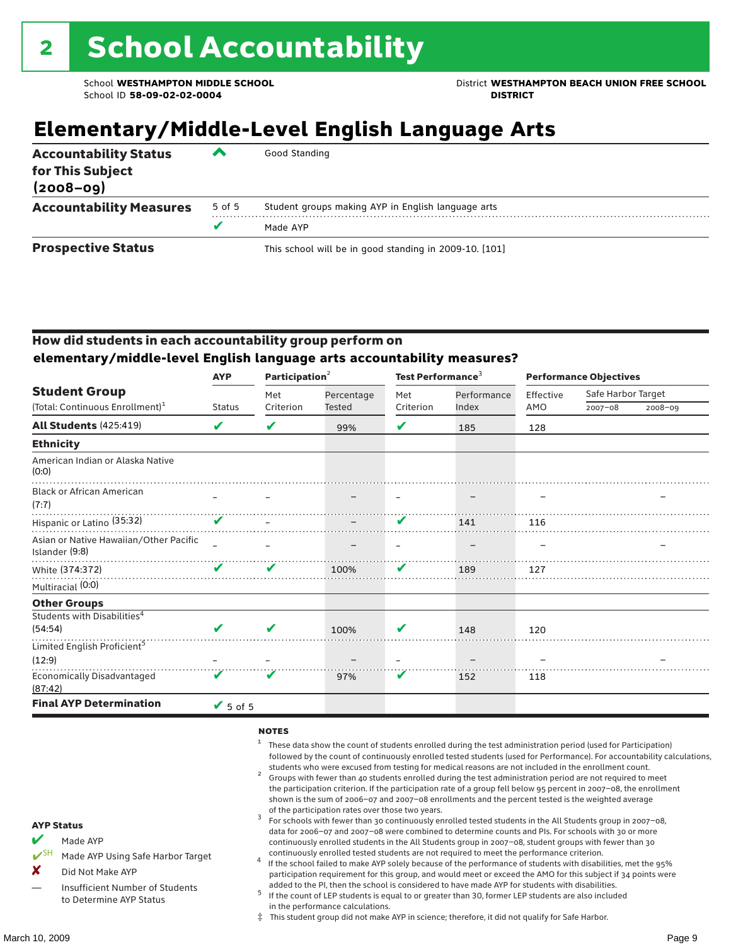School **WESTHAMPTON MIDDLE SCHOOL** District **WESTHAMPTON BEACH UNION FREE SCHOOL**

### **Elementary/Middle-Level English Language Arts**

| <b>Accountability Status</b><br>for This Subject<br>$(2008 - 09)$ | ▰      | Good Standing                                          |
|-------------------------------------------------------------------|--------|--------------------------------------------------------|
| <b>Accountability Measures</b>                                    | 5 of 5 | Student groups making AYP in English language arts     |
|                                                                   |        | Made AYP                                               |
| <b>Prospective Status</b>                                         |        | This school will be in good standing in 2009-10. [101] |

#### How did students in each accountability group perform on **elementary/middle-level English language arts accountability measures?**

|                                                          | <b>AYP</b>      | Participation <sup>2</sup> |            | Test Performance <sup>3</sup> |             | <b>Performance Objectives</b> |                    |             |
|----------------------------------------------------------|-----------------|----------------------------|------------|-------------------------------|-------------|-------------------------------|--------------------|-------------|
| <b>Student Group</b>                                     |                 | Met                        | Percentage | Met                           | Performance | Effective                     | Safe Harbor Target |             |
| (Total: Continuous Enrollment) <sup>1</sup>              | <b>Status</b>   | Criterion                  | Tested     | Criterion                     | Index       | AMO                           | $2007 - 08$        | $2008 - 09$ |
| All Students (425:419)                                   | V               | V                          | 99%        | V                             | 185         | 128                           |                    |             |
| <b>Ethnicity</b>                                         |                 |                            |            |                               |             |                               |                    |             |
| American Indian or Alaska Native<br>(0:0)                |                 |                            |            |                               |             |                               |                    |             |
| <b>Black or African American</b><br>(7:7)                |                 |                            |            |                               |             |                               |                    |             |
| Hispanic or Latino (35:32)                               | V               |                            |            | V                             | 141         | 116                           |                    |             |
| Asian or Native Hawaiian/Other Pacific<br>Islander (9:8) |                 |                            |            |                               |             |                               |                    |             |
| White (374:372)                                          | ✔               | V                          | 100%       | V                             | 189         | 127                           |                    |             |
| Multiracial (0:0)                                        |                 |                            |            |                               |             |                               |                    |             |
| <b>Other Groups</b>                                      |                 |                            |            |                               |             |                               |                    |             |
| Students with Disabilities <sup>4</sup>                  |                 |                            |            |                               |             |                               |                    |             |
| (54:54)                                                  | ✔               | V                          | 100%       | V                             | 148         | 120                           |                    |             |
| Limited English Proficient <sup>5</sup>                  |                 |                            |            |                               |             |                               |                    |             |
| (12:9)                                                   |                 |                            |            |                               |             |                               |                    |             |
| <b>Economically Disadvantaged</b><br>(87:42)             | V               | V                          | 97%        | V                             | 152         | 118                           |                    |             |
| <b>Final AYP Determination</b>                           | $\sqrt{5}$ of 5 |                            |            |                               |             |                               |                    |             |

#### **NOTES**

- <sup>1</sup> These data show the count of students enrolled during the test administration period (used for Participation) followed by the count of continuously enrolled tested students (used for Performance). For accountability calculations,
- students who were excused from testing for medical reasons are not included in the enrollment count. <sup>2</sup> Groups with fewer than 40 students enrolled during the test administration period are not required to meet the participation criterion. If the participation rate of a group fell below 95 percent in 2007–08, the enrollment shown is the sum of 2006–07 and 2007–08 enrollments and the percent tested is the weighted average
- of the participation rates over those two years.<br><sup>3</sup> For schools with fewer than 30 continuously enrolled tested students in the All Students group in 2007–08, data for 2006–07 and 2007–08 were combined to determine counts and PIs. For schools with 30 or more continuously enrolled students in the All Students group in 2007–08, student groups with fewer than 30
- continuously enrolled tested students are not required to meet the performance criterion. <sup>4</sup> If the school failed to make AYP solely because of the performance of students with disabilities, met the 95% participation requirement for this group, and would meet or exceed the AMO for this subject if 34 points were added to the PI, then the school is considered to have made AYP for students with disabilities.
- $5$  If the count of LEP students is equal to or greater than 30, former LEP students are also included in the performance calculations.
- ‡ This student group did not make AYP in science; therefore, it did not qualify for Safe Harbor.
- Made AYP
	- Made AYP Using Safe Harbor Target
- X Did Not Make AYP
- Insufficient Number of Students to Determine AYP Status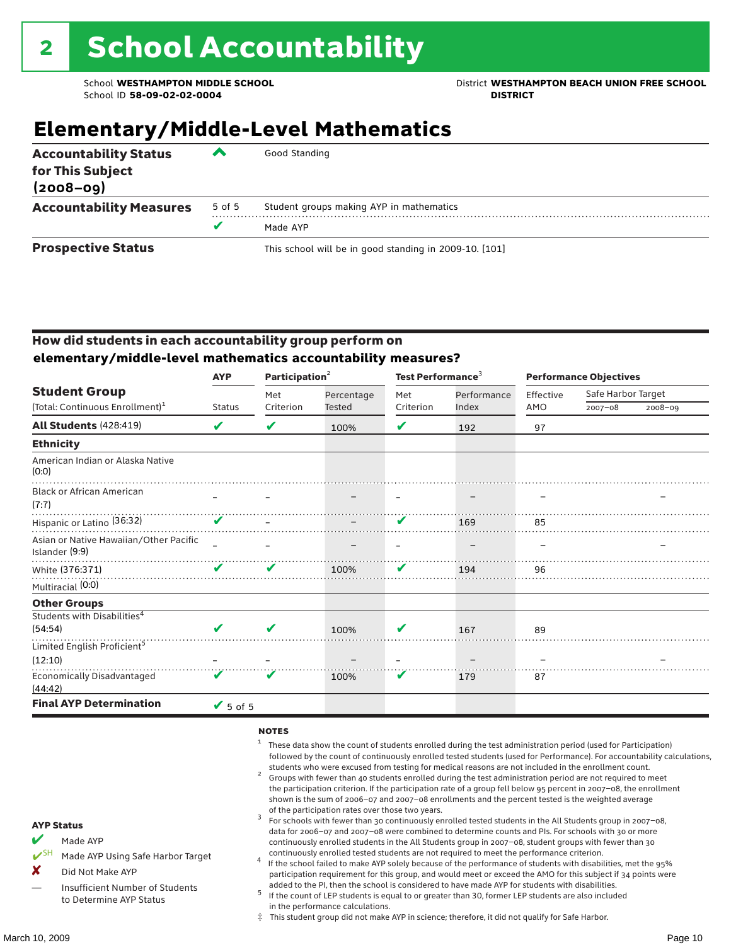School **WESTHAMPTON MIDDLE SCHOOL** District **WESTHAMPTON BEACH UNION FREE SCHOOL**

### **Elementary/Middle-Level Mathematics**

| <b>Accountability Status</b><br>for This Subject<br>$(2008 - 09)$ | ▰      | Good Standing                                          |
|-------------------------------------------------------------------|--------|--------------------------------------------------------|
| <b>Accountability Measures</b>                                    | 5 of 5 | Student groups making AYP in mathematics               |
|                                                                   |        | Made AYP                                               |
| <b>Prospective Status</b>                                         |        | This school will be in good standing in 2009-10. [101] |

#### How did students in each accountability group perform on **elementary/middle-level mathematics accountability measures?**

| <b>AYP</b> | Participation <sup>2</sup> |                              |               |             | <b>Performance Objectives</b>          |             |                    |
|------------|----------------------------|------------------------------|---------------|-------------|----------------------------------------|-------------|--------------------|
|            | Met                        | Percentage                   | Met           | Performance | Effective                              |             |                    |
|            |                            |                              |               |             |                                        | $2007 - 08$ | $2008 - 09$        |
| V          | V                          | 100%                         | V             | 192         | 97                                     |             |                    |
|            |                            |                              |               |             |                                        |             |                    |
|            |                            |                              |               |             |                                        |             |                    |
|            |                            |                              |               |             |                                        |             |                    |
|            |                            |                              | V             | 169         | 85                                     |             |                    |
|            |                            |                              |               |             |                                        |             |                    |
| V          | ✔                          | 100%                         | V             | 194         | 96                                     |             |                    |
|            |                            |                              |               |             |                                        |             |                    |
|            |                            |                              |               |             |                                        |             |                    |
|            |                            |                              |               |             |                                        |             |                    |
| V          | ✔                          | 100%                         | V             | 167         | 89                                     |             |                    |
|            |                            |                              |               |             |                                        |             |                    |
|            |                            |                              |               |             |                                        |             |                    |
| V          | V                          | 100%                         | V             | 179         | 87                                     |             |                    |
|            |                            |                              |               |             |                                        |             |                    |
|            | <b>Status</b>              | Criterion<br>$\sqrt{5}$ of 5 | <b>Tested</b> | Criterion   | Test Performance <sup>3</sup><br>Index | AMO         | Safe Harbor Target |

#### **NOTES**

- <sup>1</sup> These data show the count of students enrolled during the test administration period (used for Participation) followed by the count of continuously enrolled tested students (used for Performance). For accountability calculations,
- students who were excused from testing for medical reasons are not included in the enrollment count.<br><sup>2</sup> Groups with fewer than 40 students enrolled during the test administration period are not required to meet the participation criterion. If the participation rate of a group fell below 95 percent in 2007–08, the enrollment shown is the sum of 2006–07 and 2007–08 enrollments and the percent tested is the weighted average
- of the participation rates over those two years.<br><sup>3</sup> For schools with fewer than 30 continuously enrolled tested students in the All Students group in 2007–08, data for 2006–07 and 2007–08 were combined to determine counts and PIs. For schools with 30 or more continuously enrolled students in the All Students group in 2007–08, student groups with fewer than 30
- continuously enrolled tested students are not required to meet the performance criterion. <sup>4</sup> If the school failed to make AYP solely because of the performance of students with disabilities, met the 95% participation requirement for this group, and would meet or exceed the AMO for this subject if 34 points were added to the PI, then the school is considered to have made AYP for students with disabilities.
- $5$  If the count of LEP students is equal to or greater than 30, former LEP students are also included in the performance calculations.
- ‡ This student group did not make AYP in science; therefore, it did not qualify for Safe Harbor.
- Made AYP
	- Made AYP Using Safe Harbor Target
- X Did Not Make AYP
- Insufficient Number of Students to Determine AYP Status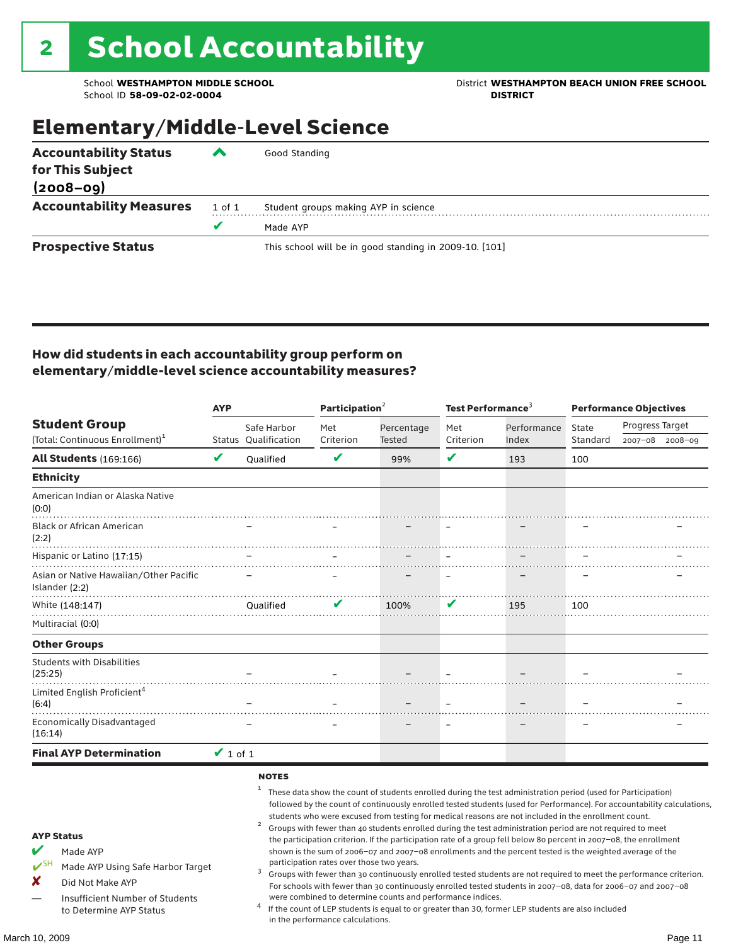School **WESTHAMPTON MIDDLE SCHOOL**<br>School ID 58-09-02-020404<br>DISTRICT DISTRICT

## Elementary/Middle-Level Science

| <b>Accountability Status</b>   | ◚          | Good Standing                                          |  |  |  |  |  |
|--------------------------------|------------|--------------------------------------------------------|--|--|--|--|--|
| for This Subject               |            |                                                        |  |  |  |  |  |
| $(2008 - 09)$                  |            |                                                        |  |  |  |  |  |
| <b>Accountability Measures</b> | $1$ of $1$ | Student groups making AYP in science                   |  |  |  |  |  |
|                                | v          | Made AYP                                               |  |  |  |  |  |
| <b>Prospective Status</b>      |            | This school will be in good standing in 2009-10. [101] |  |  |  |  |  |

#### How did students in each accountability group perform on elementary/middle-level science accountability measures?

|                                                                                                                                                                            | <b>AYP</b>    |                                   | Participation <sup>2</sup>                                                    |                                                            | Test Performance <sup>3</sup> |                                                                                                                                                                                                                                                                                                                                                                                                                                                                                                                                                                                                                                                                              | <b>Performance Objectives</b> |                                                                                                                                                                                                                                                                                                                                                                 |  |
|----------------------------------------------------------------------------------------------------------------------------------------------------------------------------|---------------|-----------------------------------|-------------------------------------------------------------------------------|------------------------------------------------------------|-------------------------------|------------------------------------------------------------------------------------------------------------------------------------------------------------------------------------------------------------------------------------------------------------------------------------------------------------------------------------------------------------------------------------------------------------------------------------------------------------------------------------------------------------------------------------------------------------------------------------------------------------------------------------------------------------------------------|-------------------------------|-----------------------------------------------------------------------------------------------------------------------------------------------------------------------------------------------------------------------------------------------------------------------------------------------------------------------------------------------------------------|--|
| <b>Student Group</b>                                                                                                                                                       |               | Safe Harbor                       | Met                                                                           | Percentage                                                 | Met                           | Performance                                                                                                                                                                                                                                                                                                                                                                                                                                                                                                                                                                                                                                                                  | State                         | Progress Target                                                                                                                                                                                                                                                                                                                                                 |  |
| (Total: Continuous Enrollment) <sup>1</sup>                                                                                                                                |               | Status Qualification              | Criterion                                                                     | Tested                                                     | Criterion                     | Index                                                                                                                                                                                                                                                                                                                                                                                                                                                                                                                                                                                                                                                                        | Standard                      | 2007-08 2008-09                                                                                                                                                                                                                                                                                                                                                 |  |
| <b>All Students (169:166)</b>                                                                                                                                              | V             | <b>Oualified</b>                  | V                                                                             | 99%                                                        | V                             | 193                                                                                                                                                                                                                                                                                                                                                                                                                                                                                                                                                                                                                                                                          | 100                           |                                                                                                                                                                                                                                                                                                                                                                 |  |
| <b>Ethnicity</b>                                                                                                                                                           |               |                                   |                                                                               |                                                            |                               |                                                                                                                                                                                                                                                                                                                                                                                                                                                                                                                                                                                                                                                                              |                               |                                                                                                                                                                                                                                                                                                                                                                 |  |
| American Indian or Alaska Native<br>(0:0)                                                                                                                                  |               |                                   |                                                                               |                                                            |                               |                                                                                                                                                                                                                                                                                                                                                                                                                                                                                                                                                                                                                                                                              |                               |                                                                                                                                                                                                                                                                                                                                                                 |  |
| <b>Black or African American</b><br>(2:2)                                                                                                                                  |               |                                   |                                                                               |                                                            |                               |                                                                                                                                                                                                                                                                                                                                                                                                                                                                                                                                                                                                                                                                              |                               |                                                                                                                                                                                                                                                                                                                                                                 |  |
| Hispanic or Latino (17:15)                                                                                                                                                 |               |                                   |                                                                               |                                                            |                               |                                                                                                                                                                                                                                                                                                                                                                                                                                                                                                                                                                                                                                                                              |                               |                                                                                                                                                                                                                                                                                                                                                                 |  |
| Asian or Native Hawaiian/Other Pacific<br>Islander (2:2)                                                                                                                   |               |                                   |                                                                               |                                                            |                               |                                                                                                                                                                                                                                                                                                                                                                                                                                                                                                                                                                                                                                                                              |                               |                                                                                                                                                                                                                                                                                                                                                                 |  |
| White (148:147)                                                                                                                                                            |               | <b>Oualified</b>                  | V                                                                             | 100%                                                       | V                             | 195                                                                                                                                                                                                                                                                                                                                                                                                                                                                                                                                                                                                                                                                          | 100                           |                                                                                                                                                                                                                                                                                                                                                                 |  |
| Multiracial (0:0)                                                                                                                                                          |               |                                   |                                                                               |                                                            |                               |                                                                                                                                                                                                                                                                                                                                                                                                                                                                                                                                                                                                                                                                              |                               |                                                                                                                                                                                                                                                                                                                                                                 |  |
| <b>Other Groups</b>                                                                                                                                                        |               |                                   |                                                                               |                                                            |                               |                                                                                                                                                                                                                                                                                                                                                                                                                                                                                                                                                                                                                                                                              |                               |                                                                                                                                                                                                                                                                                                                                                                 |  |
| <b>Students with Disabilities</b><br>(25:25)                                                                                                                               |               |                                   |                                                                               |                                                            |                               |                                                                                                                                                                                                                                                                                                                                                                                                                                                                                                                                                                                                                                                                              |                               |                                                                                                                                                                                                                                                                                                                                                                 |  |
| Limited English Proficient <sup>4</sup><br>(6:4)                                                                                                                           |               |                                   |                                                                               |                                                            |                               |                                                                                                                                                                                                                                                                                                                                                                                                                                                                                                                                                                                                                                                                              |                               |                                                                                                                                                                                                                                                                                                                                                                 |  |
| <b>Economically Disadvantaged</b><br>(16:14)                                                                                                                               |               |                                   |                                                                               |                                                            |                               |                                                                                                                                                                                                                                                                                                                                                                                                                                                                                                                                                                                                                                                                              |                               |                                                                                                                                                                                                                                                                                                                                                                 |  |
| <b>Final AYP Determination</b>                                                                                                                                             | $\vee$ 1 of 1 |                                   |                                                                               |                                                            |                               |                                                                                                                                                                                                                                                                                                                                                                                                                                                                                                                                                                                                                                                                              |                               |                                                                                                                                                                                                                                                                                                                                                                 |  |
| <b>AYP Status</b><br>V<br>Made AYP<br>$V^{SH}$<br>Made AYP Using Safe Harbor Target<br>X<br>Did Not Make AYP<br>Insufficient Number of Students<br>to Determine AYP Status |               | <b>NOTES</b><br>$\mathbf{1}$<br>3 | participation rates over those two years.<br>in the performance calculations. | were combined to determine counts and performance indices. |                               | These data show the count of students enrolled during the test administration period (used for Participation)<br>students who were excused from testing for medical reasons are not included in the enrollment count.<br>Groups with fewer than 40 students enrolled during the test administration period are not required to meet<br>the participation criterion. If the participation rate of a group fell below 80 percent in 2007-08, the enrollment<br>shown is the sum of 2006-07 and 2007-08 enrollments and the percent tested is the weighted average of the<br>If the count of LEP students is equal to or greater than 30, former LEP students are also included |                               | followed by the count of continuously enrolled tested students (used for Performance). For accountability calculations,<br>Groups with fewer than 30 continuously enrolled tested students are not required to meet the performance criterion.<br>For schools with fewer than 30 continuously enrolled tested students in 2007-08, data for 2006-07 and 2007-08 |  |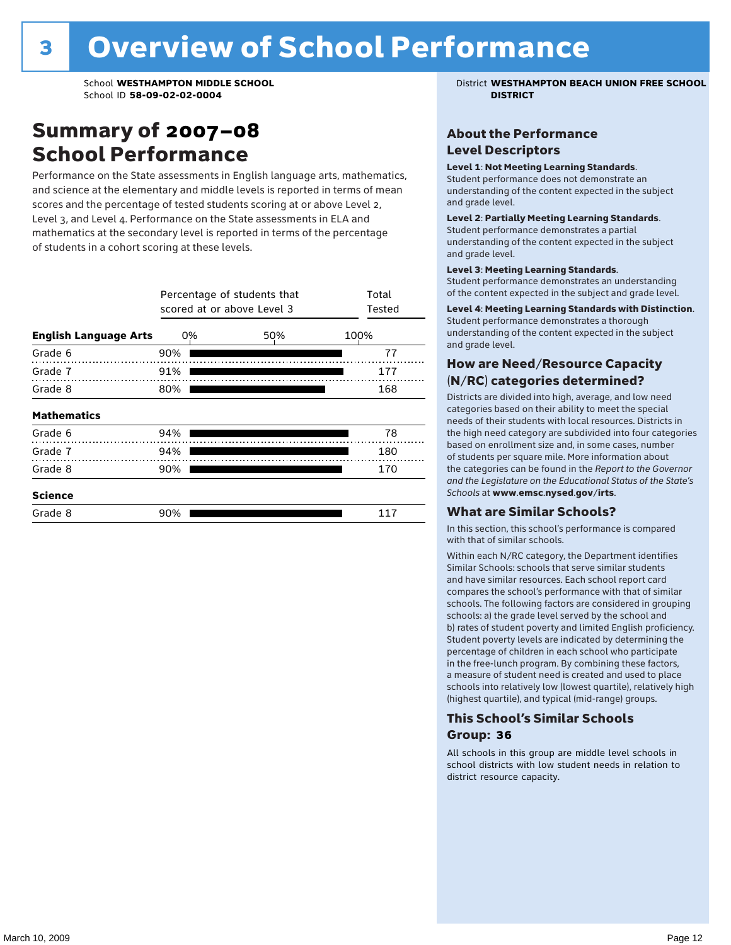### Summary of 2007–08 School Performance

Performance on the State assessments in English language arts, mathematics, and science at the elementary and middle levels is reported in terms of mean scores and the percentage of tested students scoring at or above Level 2, Level 3, and Level 4. Performance on the State assessments in ELA and mathematics at the secondary level is reported in terms of the percentage of students in a cohort scoring at these levels.

|                              |     | Percentage of students that<br>scored at or above Level 3 |     | Total<br>Tested |     |  |
|------------------------------|-----|-----------------------------------------------------------|-----|-----------------|-----|--|
| <b>English Language Arts</b> | 0%  |                                                           | 50% | 100%            |     |  |
| Grade 6                      | 90% |                                                           |     |                 | 77  |  |
| Grade 7                      | 91% |                                                           |     |                 | 177 |  |
| Grade 8                      | 80% |                                                           |     |                 | 168 |  |
| <b>Mathematics</b>           |     |                                                           |     |                 |     |  |
| Grade 6                      | 94% |                                                           |     |                 | 78  |  |
| Grade 7                      | 94% |                                                           |     |                 | 180 |  |
| Grade 8                      | 90% |                                                           |     |                 | 170 |  |
| <b>Science</b>               |     |                                                           |     |                 |     |  |
| Grade 8                      | 90% |                                                           |     |                 | 117 |  |

School **WESTHAMPTON MIDDLE SCHOOL** District **WESTHAMPTON BEACH UNION FREE SCHOOL**

#### About the Performance Level Descriptors

#### Level 1: Not Meeting Learning Standards.

Student performance does not demonstrate an understanding of the content expected in the subject and grade level.

#### Level 2: Partially Meeting Learning Standards.

Student performance demonstrates a partial understanding of the content expected in the subject and grade level.

#### Level 3: Meeting Learning Standards.

Student performance demonstrates an understanding of the content expected in the subject and grade level.

#### Level 4: Meeting Learning Standards with Distinction.

Student performance demonstrates a thorough understanding of the content expected in the subject and grade level.

#### How are Need/Resource Capacity (N/RC) categories determined?

Districts are divided into high, average, and low need categories based on their ability to meet the special needs of their students with local resources. Districts in the high need category are subdivided into four categories based on enrollment size and, in some cases, number of students per square mile. More information about the categories can be found in the *Report to the Governor and the Legislature on the Educational Status of the State's Schools* at www.emsc.nysed.gov/irts.

#### What are Similar Schools?

In this section, this school's performance is compared with that of similar schools.

Within each N/RC category, the Department identifies Similar Schools: schools that serve similar students and have similar resources. Each school report card compares the school's performance with that of similar schools. The following factors are considered in grouping schools: a) the grade level served by the school and b) rates of student poverty and limited English proficiency. Student poverty levels are indicated by determining the percentage of children in each school who participate in the free-lunch program. By combining these factors, a measure of student need is created and used to place schools into relatively low (lowest quartile), relatively high (highest quartile), and typical (mid-range) groups.

#### This School's Similar Schools Group: **36**

All schools in this group are middle level schools in school districts with low student needs in relation to district resource capacity.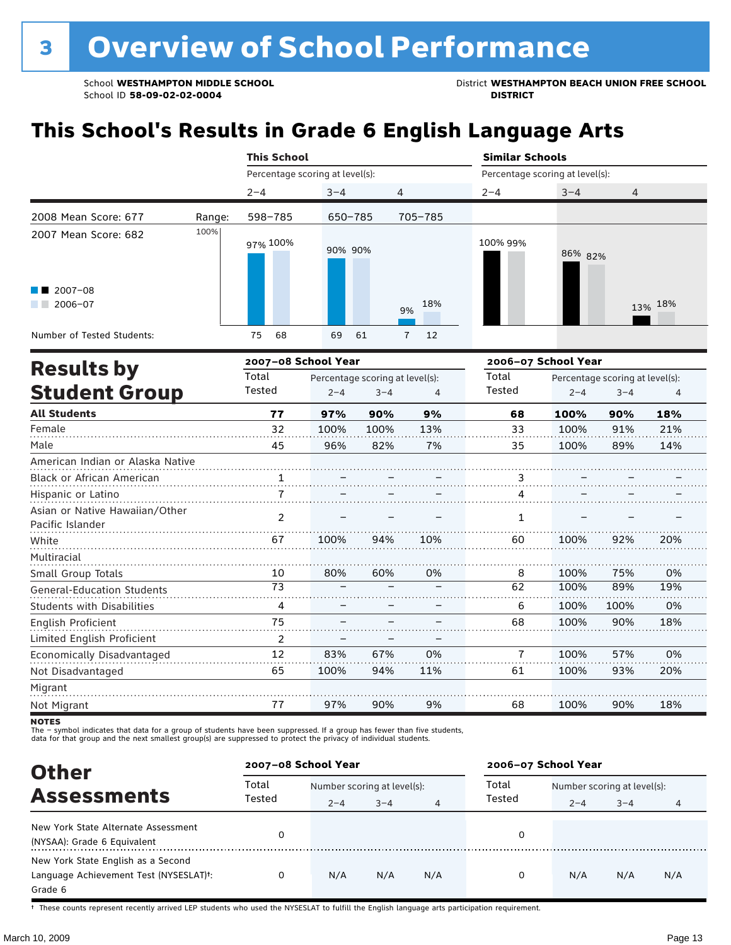School **WESTHAMPTON MIDDLE SCHOOL**<br>School ID 58-09-02-020404<br>District **District Politics** 

## **This School's Results in Grade 6 English Language Arts**

|                                           |        | <b>This School</b>  |                                 |                                                 |                     | <b>Similar Schools</b><br>Percentage scoring at level(s):  |         |  |  |  |
|-------------------------------------------|--------|---------------------|---------------------------------|-------------------------------------------------|---------------------|------------------------------------------------------------|---------|--|--|--|
|                                           |        |                     | Percentage scoring at level(s): |                                                 |                     |                                                            |         |  |  |  |
|                                           |        | $2 - 4$             | $3 - 4$                         | 4                                               | $2 - 4$             | $3 - 4$                                                    | 4       |  |  |  |
| 2008 Mean Score: 677                      | Range: | 598-785             | 650-785                         | 705-785                                         |                     |                                                            |         |  |  |  |
| 2007 Mean Score: 682                      | 100%   | 97% 100%            | 90% 90%                         |                                                 | 100% 99%            | 86% 82%                                                    |         |  |  |  |
| $\blacksquare$ 2007-08<br>2006-07         |        |                     |                                 | 18%<br>9%                                       |                     |                                                            | 13% 18% |  |  |  |
| Number of Tested Students:                |        | 68<br>75            | 69<br>61                        | $\overline{7}$<br>12                            |                     |                                                            |         |  |  |  |
|                                           |        | 2007-08 School Year |                                 |                                                 | 2006-07 School Year |                                                            |         |  |  |  |
| <b>Results by</b><br><b>Student Group</b> |        | Total<br>Tested     |                                 | Percentage scoring at level(s):<br>$3 - 4$<br>4 | Total<br>Tested     | Percentage scoring at level(s):<br>$2 - 4$<br>$3 - 4$<br>4 |         |  |  |  |
| All Charles and the                       |        |                     | $- - -$<br>$- - -$              |                                                 | $-$                 | $- - - - -$                                                | $- - -$ |  |  |  |

| All Students                                       | 77 | 97%  | 90%  | 9%  | 68 | 100% | 90%  | 18% |
|----------------------------------------------------|----|------|------|-----|----|------|------|-----|
| Female                                             | 32 | 100% | 100% | 13% | 33 | 100% | 91%  | 21% |
| Male                                               | 45 | 96%  | 82%  | 7%  | 35 | 100% | 89%  | 14% |
| American Indian or Alaska Native                   |    |      |      |     |    |      |      |     |
| Black or African American                          |    |      |      |     | 3  |      |      |     |
| Hispanic or Latino                                 |    |      |      |     | 4  |      |      |     |
| Asian or Native Hawaiian/Other<br>Pacific Islander | 2  |      |      |     | 1  |      |      |     |
| White                                              | 67 | 100% | 94%  | 10% | 60 | 100% | 92%  | 20% |
| Multiracial                                        |    |      |      |     |    |      |      |     |
| Small Group Totals                                 | 10 | 80%  | 60%  | 0%  | 8  | 100% | 75%  | 0%  |
| <b>General-Education Students</b>                  | 73 |      |      |     | 62 | 100% | 89%  | 19% |
| <b>Students with Disabilities</b>                  | 4  |      |      |     | 6  | 100% | 100% | 0%  |
| English Proficient                                 | 75 |      |      |     | 68 | 100% | 90%  | 18% |
| Limited English Proficient                         | 2  |      |      |     |    |      |      |     |
| Economically Disadvantaged                         | 12 | 83%  | 67%  | 0%  | 7  | 100% | 57%  | 0%  |
| Not Disadvantaged                                  | 65 | 100% | 94%  | 11% | 61 | 100% | 93%  | 20% |
| Migrant                                            |    |      |      |     |    |      |      |     |
| Not Migrant                                        | 77 | 97%  | 90%  | 9%  | 68 | 100% | 90%  | 18% |

**NOTES** 

The – symbol indicates that data for a group of students have been suppressed. If a group has fewer than five students,<br>data for that group and the next smallest group(s) are suppressed to protect the privacy of individual

| <b>Other</b><br><b>Assessments</b>                                                      |                 | 2007-08 School Year                    |         |     | 2006-07 School Year |                                        |         |     |
|-----------------------------------------------------------------------------------------|-----------------|----------------------------------------|---------|-----|---------------------|----------------------------------------|---------|-----|
|                                                                                         | Total<br>Tested | Number scoring at level(s):<br>$2 - 4$ | $3 - 4$ | 4   | Total<br>Tested     | Number scoring at level(s):<br>$2 - 4$ | $3 - 4$ |     |
| New York State Alternate Assessment<br>(NYSAA): Grade 6 Equivalent                      |                 |                                        |         |     |                     |                                        |         |     |
| New York State English as a Second<br>Language Achievement Test (NYSESLAT)t:<br>Grade 6 |                 | N/A                                    | N/A     | N/A | O                   | N/A                                    | N/A     | N/A |

† These counts represent recently arrived LEP students who used the NYSESLAT to fulfill the English language arts participation requirement.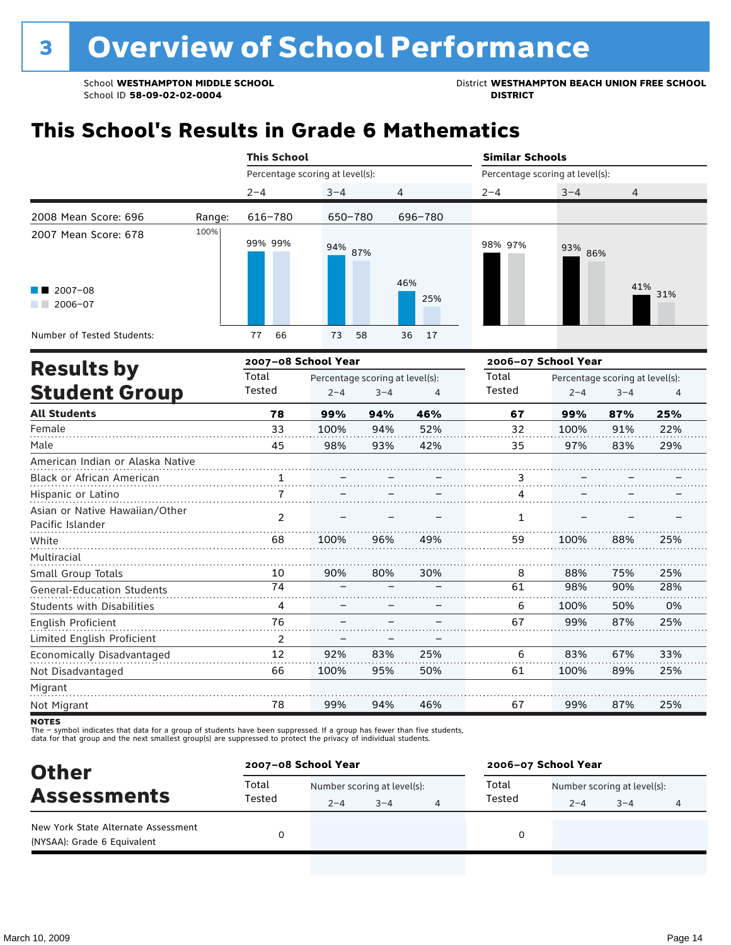School **WESTHAMPTON MIDDLE SCHOOL**<br>School ID 58-09-02-020404<br>District **District Politics** 

## **This School's Results in Grade 6 Mathematics**

|                                                           |        | <b>This School</b>              |          |            | <b>Similar Schools</b>          |            |            |  |  |
|-----------------------------------------------------------|--------|---------------------------------|----------|------------|---------------------------------|------------|------------|--|--|
|                                                           |        | Percentage scoring at level(s): |          |            | Percentage scoring at level(s): |            |            |  |  |
|                                                           |        | $2 - 4$                         | $3 - 4$  | 4          | $2 - 4$                         | $3 - 4$    | 4          |  |  |
| 2008 Mean Score: 696                                      | Range: | 616-780                         | 650-780  | 696-780    |                                 |            |            |  |  |
| 2007 Mean Score: 678<br>$\blacksquare$ 2007-08<br>2006-07 | 100%   | 99% 99%                         | 94% 87%  | 46%<br>25% | 98% 97%                         | 93%<br>86% | 41%<br>31% |  |  |
| Number of Tested Students:                                |        | 66<br>77                        | 73<br>58 | 36<br>17   |                                 |            |            |  |  |

|                                                    |                | 2007-08 School Year |                                 |     | 2006-07 School Year    |         |                                 |     |
|----------------------------------------------------|----------------|---------------------|---------------------------------|-----|------------------------|---------|---------------------------------|-----|
| <b>Results by</b>                                  | Total          |                     | Percentage scoring at level(s): |     | Total<br><b>Tested</b> |         | Percentage scoring at level(s): |     |
| <b>Student Group</b>                               | Tested         | $2 - 4$             | $3 - 4$                         | 4   |                        | $2 - 4$ | $3 - 4$                         | 4   |
| <b>All Students</b>                                | 78             | 99%                 | 94%                             | 46% | 67                     | 99%     | 87%                             | 25% |
| Female                                             | 33             | 100%                | 94%                             | 52% | 32                     | 100%    | 91%                             | 22% |
| Male                                               | 45             | 98%                 | 93%                             | 42% | 35                     | 97%     | 83%                             | 29% |
| American Indian or Alaska Native                   |                |                     |                                 |     |                        |         |                                 |     |
| Black or African American                          |                |                     |                                 |     | 3                      |         |                                 |     |
| Hispanic or Latino                                 |                |                     |                                 |     | 4                      |         |                                 |     |
| Asian or Native Hawaiian/Other<br>Pacific Islander | $\overline{2}$ |                     |                                 |     | 1                      |         |                                 |     |
| White                                              | 68             | 100%                | 96%                             | 49% | 59                     | 100%    | 88%                             | 25% |
| Multiracial                                        |                |                     |                                 |     |                        |         |                                 |     |
| Small Group Totals                                 | 10             | 90%                 | 80%                             | 30% | 8                      | 88%     | 75%                             | 25% |
| <b>General-Education Students</b>                  | 74             |                     |                                 |     | 61                     | 98%     | 90%                             | 28% |
| <b>Students with Disabilities</b>                  | 4              |                     |                                 |     | 6                      | 100%    | 50%                             | 0%  |
| English Proficient                                 | 76             |                     |                                 |     | 67                     | 99%     | 87%                             | 25% |
| Limited English Proficient                         | 2              |                     |                                 |     |                        |         |                                 |     |
| Economically Disadvantaged                         | 12             | 92%                 | 83%                             | 25% | 6                      | 83%     | 67%                             | 33% |
| Not Disadvantaged                                  | 66             | 100%                | 95%                             | 50% | 61                     | 100%    | 89%                             | 25% |
| Migrant                                            |                |                     |                                 |     |                        |         |                                 |     |
| Not Migrant                                        | 78             | 99%                 | 94%                             | 46% | 67                     | 99%     | 87%                             | 25% |

**NOTES** 

| <b>Other</b>                                                       | 2007-08 School Year |                             |         |  | 2006-07 School Year |                             |         |   |  |
|--------------------------------------------------------------------|---------------------|-----------------------------|---------|--|---------------------|-----------------------------|---------|---|--|
| <b>Assessments</b>                                                 | Total               | Number scoring at level(s): |         |  | Total               | Number scoring at level(s): |         |   |  |
|                                                                    | Tested              | $2 - 4$                     | $3 - 4$ |  | Tested              | $2 - 4$                     | $3 - 4$ | 4 |  |
| New York State Alternate Assessment<br>(NYSAA): Grade 6 Equivalent |                     |                             |         |  |                     |                             |         |   |  |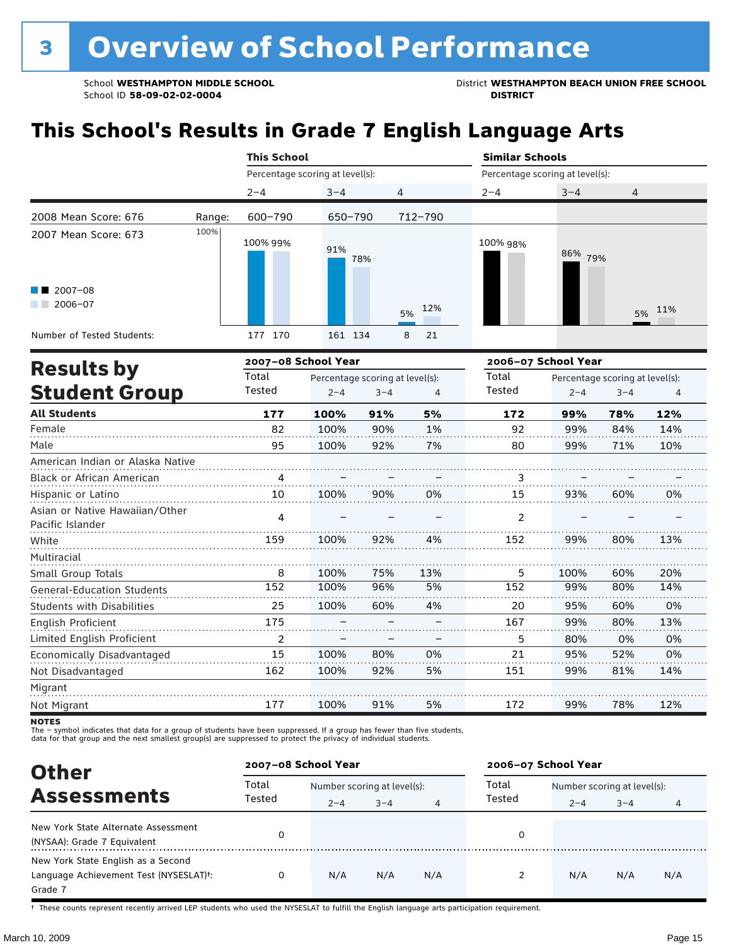School **WESTHAMPTON MIDDLE SCHOOL**<br>School ID 58-09-02-020404<br>District **District Politics** 

## **This School's Results in Grade 7 English Language Arts**

|                                  |        | <b>This School</b>              |                                 |         |           |                                 | <b>Similar Schools</b>          |         |        |  |  |  |
|----------------------------------|--------|---------------------------------|---------------------------------|---------|-----------|---------------------------------|---------------------------------|---------|--------|--|--|--|
|                                  |        | Percentage scoring at level(s): |                                 |         |           | Percentage scoring at level(s): |                                 |         |        |  |  |  |
|                                  |        | $2 - 4$                         | $3 - 4$                         | 4       |           | $2 - 4$                         | $3 - 4$                         | 4       |        |  |  |  |
| 2008 Mean Score: 676             | Range: | 600-790                         | 650-790                         |         | 712-790   |                                 |                                 |         |        |  |  |  |
| 2007 Mean Score: 673             | 100%   | 100% 99%                        | 91%                             | 78%     |           | 100% 98%                        | 86%<br>79%                      |         |        |  |  |  |
| $2007 - 08$<br>$2006 - 07$       |        |                                 |                                 |         | 12%<br>5% |                                 |                                 |         | 5% 11% |  |  |  |
| Number of Tested Students:       |        | 177 170                         | 161 134                         |         | 8<br>21   |                                 |                                 |         |        |  |  |  |
|                                  |        | 2007-08 School Year             |                                 |         |           | 2006-07 School Year             |                                 |         |        |  |  |  |
| <b>Results by</b>                |        | Total                           | Percentage scoring at level(s): |         |           | Total                           | Percentage scoring at level(s): |         |        |  |  |  |
| <b>Student Group</b>             |        | Tested                          | $2 - 4$                         | $3 - 4$ | 4         | Tested                          | $2 - 4$                         | $3 - 4$ | 4      |  |  |  |
| <b>All Students</b>              |        | 177                             | 100%                            | 91%     | 5%        | 172                             | 99%                             | 78%     | 12%    |  |  |  |
| Female                           |        | 82                              | 100%                            | 90%     | 1%        | 92                              | 99%                             | 84%     | 14%    |  |  |  |
| Male                             |        | 95                              | 100%                            | 92%     | 7%        | 80                              | 99%                             | 71%     | 10%    |  |  |  |
| American Indian or Alaska Native |        |                                 |                                 |         |           |                                 |                                 |         |        |  |  |  |
| <b>Black or African American</b> |        |                                 |                                 |         |           | 3                               |                                 |         |        |  |  |  |
|                                  |        |                                 |                                 |         |           |                                 |                                 |         |        |  |  |  |

| Black or African American                          |     |      |     |     |     |      |     |     |
|----------------------------------------------------|-----|------|-----|-----|-----|------|-----|-----|
| Hispanic or Latino                                 | 10  | 100% | 90% | 0%  | 15  | 93%  | 60% | 0%  |
| Asian or Native Hawaiian/Other<br>Pacific Islander | 4   |      |     |     | 2   |      |     |     |
| White                                              | 159 | 100% | 92% | 4%  | 152 | 99%  | 80% | 13% |
| Multiracial                                        |     |      |     |     |     |      |     |     |
| Small Group Totals                                 | 8   | 100% | 75% | 13% | 5   | 100% | 60% | 20% |
| <b>General-Education Students</b>                  | 152 | 100% | 96% | 5%  | 152 | 99%  | 80% | 14% |
| Students with Disabilities                         | 25  | 100% | 60% | 4%  | 20  | 95%  | 60% | 0%  |
| English Proficient                                 | 175 |      |     |     | 167 | 99%  | 80% | 13% |
| Limited English Proficient                         |     |      |     |     | 5   | 80%  | 0%  | 0%  |
| Economically Disadvantaged                         | 15  | 100% | 80% | 0%  | 21  | 95%  | 52% | 0%  |
| Not Disadvantaged                                  | 162 | 100% | 92% | 5%  | 151 | 99%  | 81% | 14% |
| Migrant                                            |     |      |     |     |     |      |     |     |
| Not Migrant                                        | 177 | 100% | 91% | 5%  | 172 | 99%  | 78% | 12% |

**NOTES** 

The – symbol indicates that data for a group of students have been suppressed. If a group has fewer than five students,<br>data for that group and the next smallest group(s) are suppressed to protect the privacy of individual

| <b>Other</b>                                                                                         | 2007-08 School Year |                                        |         |     | 2006-07 School Year |                                        |         |     |  |
|------------------------------------------------------------------------------------------------------|---------------------|----------------------------------------|---------|-----|---------------------|----------------------------------------|---------|-----|--|
| <b>Assessments</b>                                                                                   | Total<br>Tested     | Number scoring at level(s):<br>$2 - 4$ | $3 - 4$ |     | Total<br>Tested     | Number scoring at level(s):<br>$2 - 4$ | $3 - 4$ | 4   |  |
| New York State Alternate Assessment<br>(NYSAA): Grade 7 Equivalent                                   |                     |                                        |         |     | 0                   |                                        |         |     |  |
| New York State English as a Second<br>Language Achievement Test (NYSESLAT) <sup>+</sup> :<br>Grade 7 |                     | N/A                                    | N/A     | N/A | 2                   | N/A                                    | N/A     | N/A |  |

† These counts represent recently arrived LEP students who used the NYSESLAT to fulfill the English language arts participation requirement.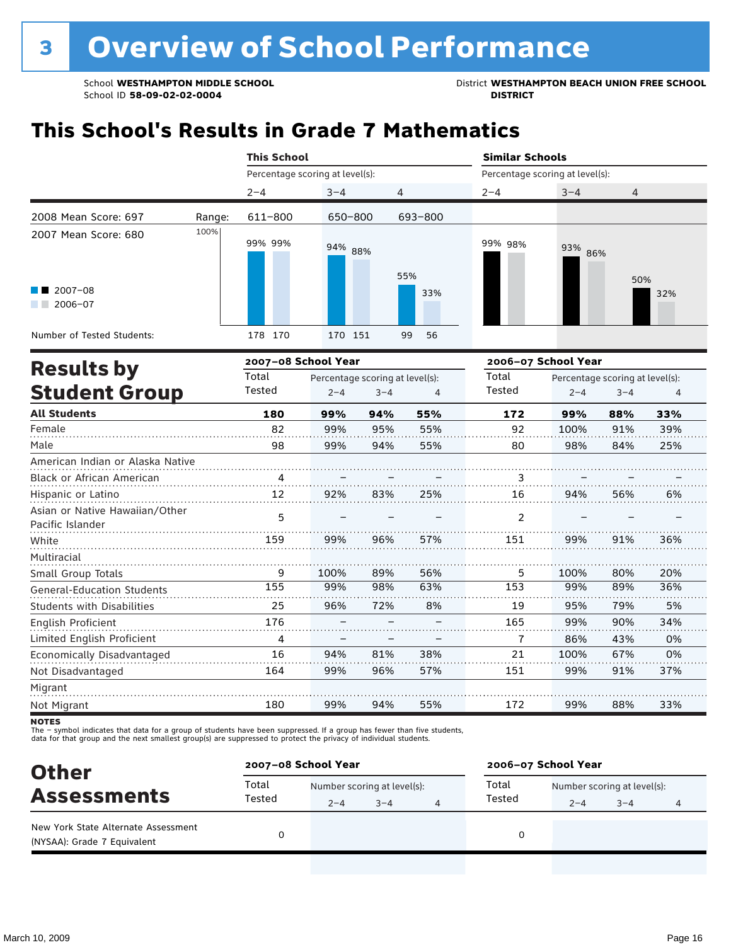School **WESTHAMPTON MIDDLE SCHOOL**<br>School ID 58-09-02-020404<br>District **District Politics** 

## **This School's Results in Grade 7 Mathematics**

|                                                    |        | <b>This School</b>              |                                 |         |                | <b>Similar Schools</b>          |         |                                 |     |
|----------------------------------------------------|--------|---------------------------------|---------------------------------|---------|----------------|---------------------------------|---------|---------------------------------|-----|
|                                                    |        | Percentage scoring at level(s): |                                 |         |                | Percentage scoring at level(s): |         |                                 |     |
|                                                    |        | $2 - 4$                         | $3 - 4$                         | 4       |                | $2 - 4$                         | $3 - 4$ | 4                               |     |
| 2008 Mean Score: 697                               | Range: | 611-800                         | 650-800                         |         | 693-800        |                                 |         |                                 |     |
| 2007 Mean Score: 680                               | 100%   | 99% 99%                         | 94% 88%                         |         | 55%            | 99% 98%                         | 93% 86% |                                 |     |
| 2007-08<br>$2006 - 07$                             |        |                                 |                                 |         | 33%            |                                 |         | 50%                             | 32% |
| Number of Tested Students:                         |        | 178 170                         | 170 151                         |         | 99<br>56       |                                 |         |                                 |     |
| <b>Results by</b>                                  |        | 2007-08 School Year             |                                 |         |                | 2006-07 School Year             |         |                                 |     |
|                                                    |        | Total                           | Percentage scoring at level(s): |         |                | Total                           |         | Percentage scoring at level(s): |     |
| <b>Student Group</b>                               |        | Tested                          | $2 - 4$                         | $3 - 4$ | $\overline{4}$ | Tested                          | $2 - 4$ | $3 - 4$                         | 4   |
| <b>All Students</b>                                |        | 180                             | 99%                             | 94%     | 55%            | 172                             | 99%     | 88%                             | 33% |
| Female                                             |        | 82                              | 99%                             | 95%     | 55%            | 92                              | 100%    | 91%                             | 39% |
| Male                                               |        | 98                              | 99%                             | 94%     | 55%            | 80                              | 98%     | 84%                             | 25% |
| American Indian or Alaska Native                   |        |                                 |                                 |         |                |                                 |         |                                 |     |
| Black or African American                          |        | $\frac{4}{\cdots}$              |                                 |         |                | 3                               |         |                                 |     |
| Hispanic or Latino                                 |        | 12                              | 92%                             | 83%     | 25%            | 16                              | 94%     | 56%                             | 6%  |
| Asian or Native Hawaiian/Other<br>Pacific Islander |        | 5                               |                                 |         |                | $\mathcal{P}$                   |         |                                 |     |
| White                                              |        | 159                             | 99%                             | 96%     | 57%            | 151                             | 99%     | 91%                             | 36% |
| Multiracial                                        |        |                                 |                                 |         |                |                                 |         |                                 |     |
| Small Group Totals                                 |        | 9                               | 100%                            | 89%     | 56%            | 5                               | 100%    | 80%                             | 20% |
| <b>General-Education Students</b>                  |        | 155                             | 99%                             | 98%     | 63%<br>.       | 153                             | 99%     | 89%                             | 36% |
| <b>Students with Disabilities</b>                  |        | 25                              | 96%                             | 72%     | 8%             | 19                              | 95%     | 79%                             | 5%  |
| English Proficient                                 |        | 176                             |                                 |         |                | 165                             | 99%     | 90%                             | 34% |
| Limited English Proficient                         |        | 4                               |                                 |         |                | 7                               | 86%     | 43%                             | 0%  |
| Economically Disadvantaged                         |        | 16                              | 94%                             | 81%     | 38%            | 21                              | 100%    | 67%                             | 0%  |
| Not Disadvantaged                                  |        | 164                             | 99%                             | 96%     | 57%            | 151                             | 99%     | 91%                             | 37% |
| Migrant                                            |        |                                 |                                 |         |                |                                 |         |                                 |     |
| Not Miarant                                        |        | 180                             | 99%                             | 94%     | 55%            | 172                             | 99%     | 88%                             | 33% |

**NOTES** 

| <b>Other</b>                                                       | 2007-08 School Year |                             |         |  | 2006-07 School Year |                             |         |  |  |
|--------------------------------------------------------------------|---------------------|-----------------------------|---------|--|---------------------|-----------------------------|---------|--|--|
| <b>Assessments</b>                                                 | Total<br>Tested     | Number scoring at level(s): |         |  | Total<br>Tested     | Number scoring at level(s): |         |  |  |
|                                                                    |                     | $2 - 4$                     | $3 - 4$ |  |                     | $2 - 4$                     | $3 - 4$ |  |  |
| New York State Alternate Assessment<br>(NYSAA): Grade 7 Equivalent |                     |                             |         |  |                     |                             |         |  |  |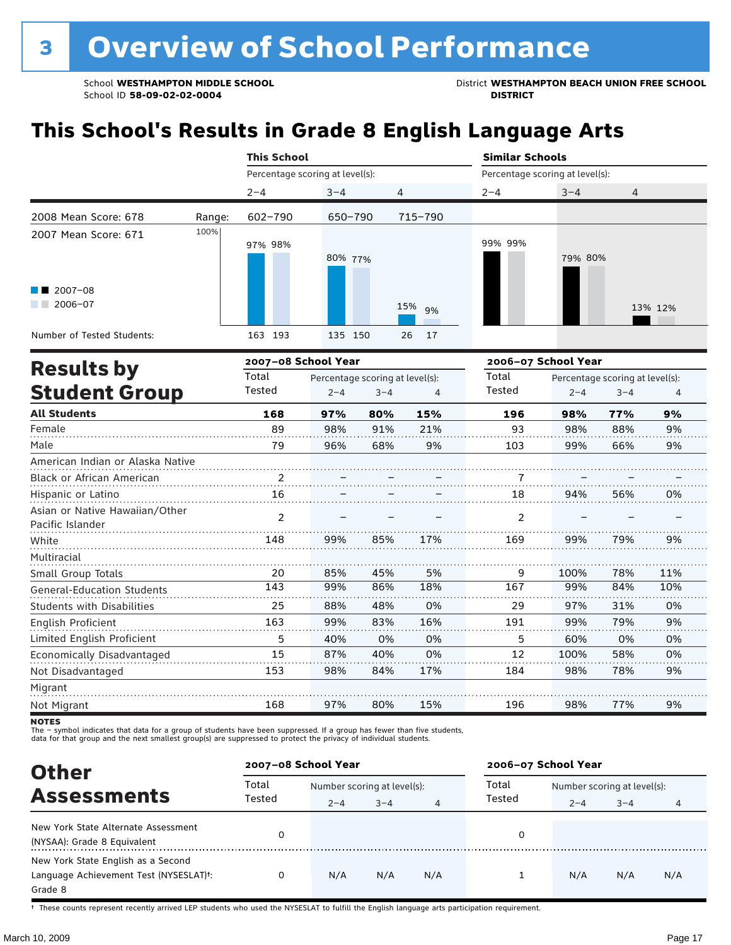School WESTHAMPTON MIDDLE SCHOOL **District WESTHAMPTON BEACH UNION FREE SCHOOL** 

## **This School's Results in Grade 8 English Language Arts**

|                                   |        | <b>This School</b>              |                                 |         |          | <b>Similar Schools</b>          |         |                                 |                |  |
|-----------------------------------|--------|---------------------------------|---------------------------------|---------|----------|---------------------------------|---------|---------------------------------|----------------|--|
|                                   |        | Percentage scoring at level(s): |                                 |         |          | Percentage scoring at level(s): |         |                                 |                |  |
|                                   |        | $2 - 4$                         | $3 - 4$                         | 4       |          | $2 - 4$                         | $3 - 4$ | 4                               |                |  |
| 2008 Mean Score: 678              | Range: | $602 - 790$                     | 650-790                         |         | 715-790  |                                 |         |                                 |                |  |
| 2007 Mean Score: 671              | 100%   |                                 |                                 |         |          |                                 |         |                                 |                |  |
|                                   |        | 97% 98%                         |                                 |         |          | 99% 99%                         |         |                                 |                |  |
|                                   |        |                                 | 80% 77%                         |         |          |                                 | 79% 80% |                                 |                |  |
| $12007 - 08$                      |        |                                 |                                 |         |          |                                 |         |                                 |                |  |
| $\blacksquare$ 2006-07            |        |                                 |                                 |         | 15%      |                                 |         |                                 |                |  |
|                                   |        |                                 |                                 |         | 9%       |                                 |         |                                 | 13% 12%        |  |
| Number of Tested Students:        |        | 163 193                         | 135 150                         |         | 17<br>26 |                                 |         |                                 |                |  |
| <b>Results by</b>                 |        | 2007-08 School Year             |                                 |         |          | 2006-07 School Year             |         |                                 |                |  |
|                                   |        | Total                           | Percentage scoring at level(s): |         |          | Total                           |         | Percentage scoring at level(s): |                |  |
| <b>Student Group</b>              |        | Tested                          | $2 - 4$                         | $3 - 4$ | 4        | Tested                          | $2 - 4$ | $3 - 4$                         | $\overline{4}$ |  |
| <b>All Students</b>               |        | 168                             | 97%                             | 80%     | 15%      | 196                             | 98%     | 77%                             | 9%             |  |
| Female                            |        | 89                              | 98%                             | 91%     | 21%      | 93                              | 98%     | 88%                             | 9%             |  |
| Male                              |        | 79                              | 96%                             | 68%     | 9%       | 103                             | 99%     | 66%                             | 9%             |  |
| American Indian or Alaska Native  |        |                                 |                                 |         |          |                                 |         |                                 |                |  |
| Black or African American         |        | 2                               |                                 |         |          |                                 |         |                                 |                |  |
| Hispanic or Latino                |        | 16                              |                                 |         |          | 18                              | 94%     | 56%                             | 0%             |  |
| Asian or Native Hawaiian/Other    |        | $\overline{2}$                  |                                 |         |          | $\overline{2}$                  |         |                                 |                |  |
| Pacific Islander                  |        |                                 |                                 |         |          |                                 |         |                                 |                |  |
| White                             |        | 148                             | 99%                             | 85%     | 17%      | 169                             | 99%     | 79%                             | 9%             |  |
| Multiracial                       |        |                                 |                                 |         |          |                                 |         |                                 |                |  |
| Small Group Totals                |        | 20                              | 85%                             | 45%     | 5%       | 9                               | 100%    | 78%                             | 11%            |  |
| <b>General-Education Students</b> |        | 143                             | 99%                             | 86%     | 18%      | 167                             | 99%     | 84%                             | 10%            |  |
| <b>Students with Disabilities</b> |        | 25                              | 88%                             | 48%     | 0%       | 29                              | 97%     | 31%                             | 0%             |  |
| English Proficient                |        | 163                             | 99%                             | 83%     | 16%      | 191                             | 99%     | 79%                             | 9%             |  |
| Limited English Proficient        |        | 5                               | 40%                             | 0%      | 0%       | 5                               | 60%     | 0%                              | 0%             |  |
| Economically Disadvantaged        |        | 15                              | 87%                             | 40%     | 0%       | 12                              | 100%    | 58%                             | 0%             |  |
| Not Disadvantaged                 |        | 153                             | 98%                             | 84%     | 17%      | 184                             | 98%     | 78%                             | 9%             |  |

**NOTES** 

Migrant Not Migrant

The – symbol indicates that data for a group of students have been suppressed. If a group has fewer than five students,<br>data for that group and the next smallest group(s) are suppressed to protect the privacy of individual

168

| <b>Other</b>                                                                                         | 2007-08 School Year |                             |         |     | 2006-07 School Year |                             |         |     |  |
|------------------------------------------------------------------------------------------------------|---------------------|-----------------------------|---------|-----|---------------------|-----------------------------|---------|-----|--|
|                                                                                                      | Total               | Number scoring at level(s): |         |     | Total               | Number scoring at level(s): |         |     |  |
| <b>Assessments</b>                                                                                   | Tested              | $2 - 4$                     | $3 - 4$ | 4   | Tested              | $2 - 4$                     | $3 - 4$ | 4   |  |
| New York State Alternate Assessment<br>(NYSAA): Grade 8 Equivalent                                   |                     |                             |         |     | 0                   |                             |         |     |  |
| New York State English as a Second<br>Language Achievement Test (NYSESLAT) <sup>+</sup> :<br>Grade 8 |                     | N/A                         | N/A     | N/A |                     | N/A                         | N/A     | N/A |  |

80%

15%

196

98%

77%

9%

97%

† These counts represent recently arrived LEP students who used the NYSESLAT to fulfill the English language arts participation requirement.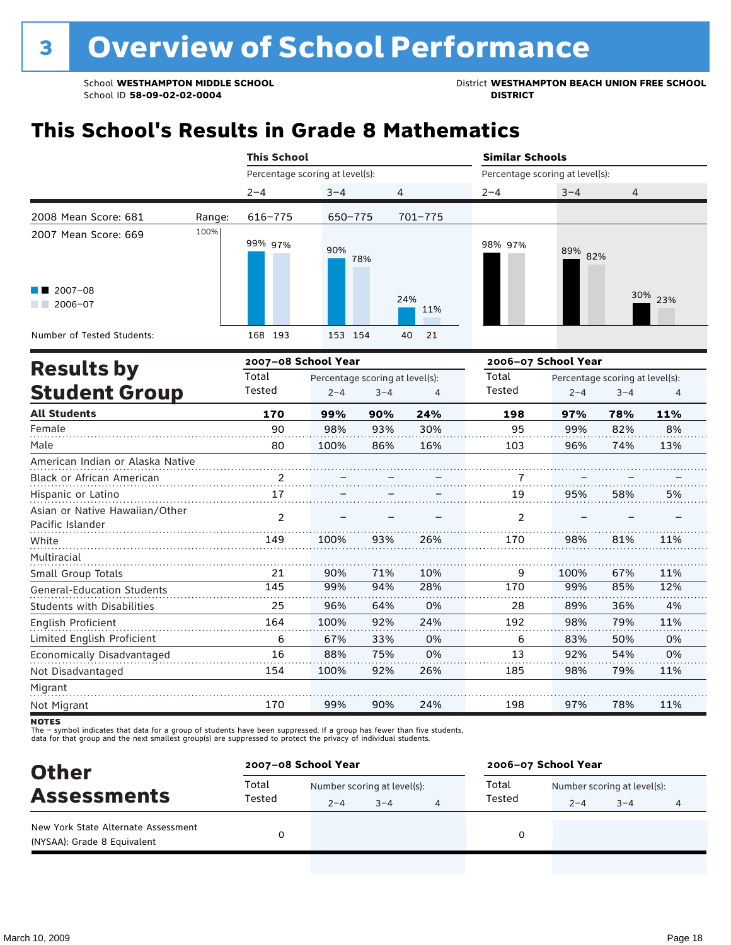School **WESTHAMPTON MIDDLE SCHOOL**<br>School ID 58-09-02-020404<br>District **District Politics** 

## **This School's Results in Grade 8 Mathematics**

|                                                               |        | <b>This School</b>              |                                 |         |            |                                 | <b>Similar Schools</b> |                                 |         |  |  |  |
|---------------------------------------------------------------|--------|---------------------------------|---------------------------------|---------|------------|---------------------------------|------------------------|---------------------------------|---------|--|--|--|
|                                                               |        | Percentage scoring at level(s): |                                 |         |            | Percentage scoring at level(s): |                        |                                 |         |  |  |  |
|                                                               |        | $2 - 4$                         | $3 - 4$                         | 4       |            | $2 - 4$                         | $3 - 4$                | 4                               |         |  |  |  |
| 2008 Mean Score: 681                                          | Range: | 616-775                         | 650-775                         |         | 701-775    |                                 |                        |                                 |         |  |  |  |
| 2007 Mean Score: 669<br>$\blacksquare$ 2007-08<br>$2006 - 07$ | 100%   | 99% 97%                         | 90%<br>78%                      |         | 24%<br>11% | 98% 97%                         | 89% 82%                |                                 | 30% 23% |  |  |  |
| Number of Tested Students:                                    |        | 168 193                         | 153 154                         | 40      | 21         |                                 |                        |                                 |         |  |  |  |
|                                                               |        | 2007-08 School Year             |                                 |         |            | 2006-07 School Year             |                        |                                 |         |  |  |  |
| <b>Results by</b>                                             |        | Total                           | Percentage scoring at level(s): |         |            | Total                           |                        | Percentage scoring at level(s): |         |  |  |  |
| <b>Student Group</b>                                          |        | Tested                          | $2 - 4$                         | $3 - 4$ | 4          | Tested                          | $2 - 4$                | $3 - 4$                         | 4       |  |  |  |
| <b>All Students</b>                                           |        | 170                             | 99%                             | 90%     | 24%        | 198                             | 97%                    | 78%                             | 11%     |  |  |  |
| Female                                                        |        | 90                              | 98%                             | 93%     | 30%        | 95                              | 99%                    | 82%                             | 8%      |  |  |  |

| Male                              | 80             | 100% | 86% | 16% | 103            | 96%  | 74% | 13% |
|-----------------------------------|----------------|------|-----|-----|----------------|------|-----|-----|
| American Indian or Alaska Native  |                |      |     |     |                |      |     |     |
| <b>Black or African American</b>  | 2              |      |     |     |                |      |     |     |
| Hispanic or Latino                | 17             |      |     |     | 19             | 95%  | 58% | 5%  |
| Asian or Native Hawaiian/Other    | $\mathfrak{p}$ |      |     |     | $\mathfrak{p}$ |      |     |     |
| Pacific Islander                  |                |      |     |     |                |      |     |     |
| White                             | 149            | 100% | 93% | 26% | 170            | 98%  | 81% | 11% |
| Multiracial                       |                |      |     |     |                |      |     |     |
| Small Group Totals                | 21             | 90%  | 71% | 10% | 9              | 100% | 67% | 11% |
| <b>General-Education Students</b> | 145            | 99%  | 94% | 28% | 170            | 99%  | 85% | 12% |
| <b>Students with Disabilities</b> | 25             | 96%  | 64% | 0%  | 28             | 89%  | 36% | 4%  |
| <b>English Proficient</b>         | 164            | 100% | 92% | 24% | 192            | 98%  | 79% | 11% |
| Limited English Proficient        | 6              | 67%  | 33% | 0%  | 6              | 83%  | 50% | 0%  |
| Economically Disadvantaged        | 16             | 88%  | 75% | 0%  | 13             | 92%  | 54% | 0%  |
| Not Disadvantaged                 | 154            | 100% | 92% | 26% | 185            | 98%  | 79% | 11% |
| Migrant                           |                |      |     |     |                |      |     |     |
| Not Migrant                       | 170            | 99%  | 90% | 24% | 198            | 97%  | 78% | 11% |

**NOTES** 

| <b>Other</b>                                                       | 2007-08 School Year |                             |         |  | 2006-07 School Year |                             |         |   |  |
|--------------------------------------------------------------------|---------------------|-----------------------------|---------|--|---------------------|-----------------------------|---------|---|--|
|                                                                    | Total               | Number scoring at level(s): |         |  | Total               | Number scoring at level(s): |         |   |  |
| <b>Assessments</b>                                                 | Tested              | $2 - 4$                     | $3 - 4$ |  | Tested              | $2 - 4$                     | $3 - 4$ | 4 |  |
| New York State Alternate Assessment<br>(NYSAA): Grade 8 Equivalent |                     |                             |         |  |                     |                             |         |   |  |